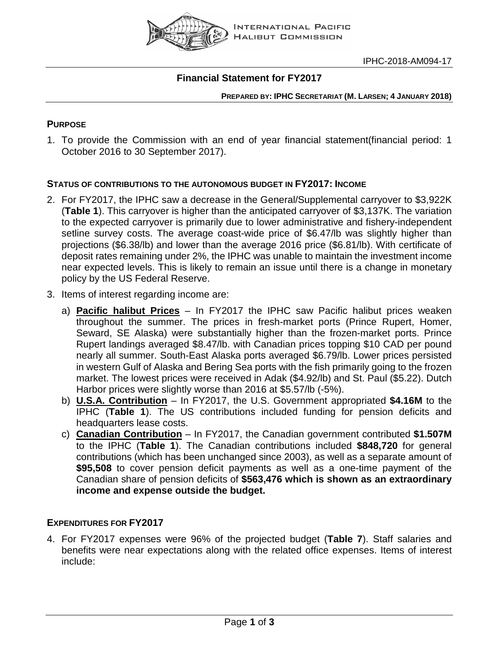

### **Financial Statement for FY2017**

**PREPARED BY: IPHC SECRETARIAT (M. LARSEN; 4 JANUARY 2018)**

### **PURPOSE**

1. To provide the Commission with an end of year financial statement(financial period: 1 October 2016 to 30 September 2017).

### **STATUS OF CONTRIBUTIONS TO THE AUTONOMOUS BUDGET IN FY2017: INCOME**

- 2. For FY2017, the IPHC saw a decrease in the General/Supplemental carryover to \$3,922K (**Table 1**). This carryover is higher than the anticipated carryover of \$3,137K. The variation to the expected carryover is primarily due to lower administrative and fishery-independent setline survey costs. The average coast-wide price of \$6.47/lb was slightly higher than projections (\$6.38/lb) and lower than the average 2016 price (\$6.81/lb). With certificate of deposit rates remaining under 2%, the IPHC was unable to maintain the investment income near expected levels. This is likely to remain an issue until there is a change in monetary policy by the US Federal Reserve.
- 3. Items of interest regarding income are:
	- a) **Pacific halibut Prices** In FY2017 the IPHC saw Pacific halibut prices weaken throughout the summer. The prices in fresh-market ports (Prince Rupert, Homer, Seward, SE Alaska) were substantially higher than the frozen-market ports. Prince Rupert landings averaged \$8.47/lb. with Canadian prices topping \$10 CAD per pound nearly all summer. South-East Alaska ports averaged \$6.79/lb. Lower prices persisted in western Gulf of Alaska and Bering Sea ports with the fish primarily going to the frozen market. The lowest prices were received in Adak (\$4.92/lb) and St. Paul (\$5.22). Dutch Harbor prices were slightly worse than 2016 at \$5.57/lb (-5%).
	- b) **U.S.A. Contribution** In FY2017, the U.S. Government appropriated **\$4.16M** to the IPHC (**Table 1**). The US contributions included funding for pension deficits and headquarters lease costs.
	- c) **Canadian Contribution** In FY2017, the Canadian government contributed **\$1.507M** to the IPHC (**Table 1**). The Canadian contributions included **\$848,720** for general contributions (which has been unchanged since 2003), as well as a separate amount of **\$95,508** to cover pension deficit payments as well as a one-time payment of the Canadian share of pension deficits of **\$563,476 which is shown as an extraordinary income and expense outside the budget.**

### **EXPENDITURES FOR FY2017**

4. For FY2017 expenses were 96% of the projected budget (**Table 7**). Staff salaries and benefits were near expectations along with the related office expenses. Items of interest include: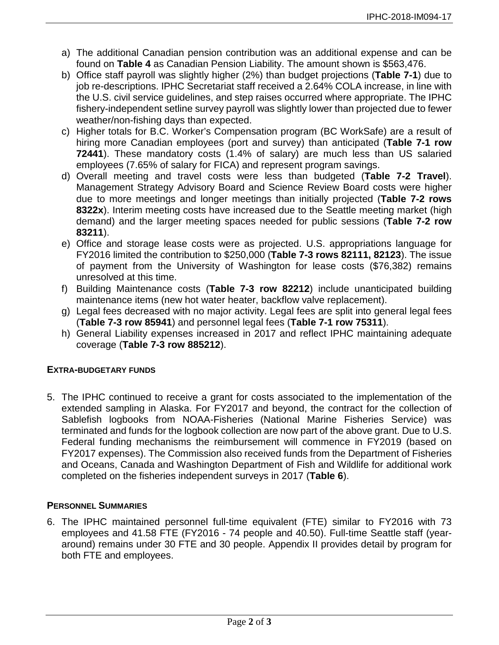- a) The additional Canadian pension contribution was an additional expense and can be found on **Table 4** as Canadian Pension Liability. The amount shown is \$563,476.
- b) Office staff payroll was slightly higher (2%) than budget projections (**Table 7-1**) due to job re-descriptions. IPHC Secretariat staff received a 2.64% COLA increase, in line with the U.S. civil service guidelines, and step raises occurred where appropriate. The IPHC fishery-independent setline survey payroll was slightly lower than projected due to fewer weather/non-fishing days than expected.
- c) Higher totals for B.C. Worker's Compensation program (BC WorkSafe) are a result of hiring more Canadian employees (port and survey) than anticipated (**Table 7-1 row 72441**). These mandatory costs (1.4% of salary) are much less than US salaried employees (7.65% of salary for FICA) and represent program savings.
- d) Overall meeting and travel costs were less than budgeted (**Table 7-2 Travel**). Management Strategy Advisory Board and Science Review Board costs were higher due to more meetings and longer meetings than initially projected (**Table 7-2 rows 8322x**). Interim meeting costs have increased due to the Seattle meeting market (high demand) and the larger meeting spaces needed for public sessions (**Table 7-2 row 83211**).
- e) Office and storage lease costs were as projected. U.S. appropriations language for FY2016 limited the contribution to \$250,000 (**Table 7-3 rows 82111, 82123**). The issue of payment from the University of Washington for lease costs (\$76,382) remains unresolved at this time.
- f) Building Maintenance costs (**Table 7-3 row 82212**) include unanticipated building maintenance items (new hot water heater, backflow valve replacement).
- g) Legal fees decreased with no major activity. Legal fees are split into general legal fees (**Table 7-3 row 85941**) and personnel legal fees (**Table 7-1 row 75311**).
- h) General Liability expenses increased in 2017 and reflect IPHC maintaining adequate coverage (**Table 7-3 row 885212**).

### **EXTRA-BUDGETARY FUNDS**

5. The IPHC continued to receive a grant for costs associated to the implementation of the extended sampling in Alaska. For FY2017 and beyond, the contract for the collection of Sablefish logbooks from NOAA-Fisheries (National Marine Fisheries Service) was terminated and funds for the logbook collection are now part of the above grant. Due to U.S. Federal funding mechanisms the reimbursement will commence in FY2019 (based on FY2017 expenses). The Commission also received funds from the Department of Fisheries and Oceans, Canada and Washington Department of Fish and Wildlife for additional work completed on the fisheries independent surveys in 2017 (**Table 6**).

### **PERSONNEL SUMMARIES**

6. The IPHC maintained personnel full-time equivalent (FTE) similar to FY2016 with 73 employees and 41.58 FTE (FY2016 - 74 people and 40.50). Full-time Seattle staff (yeararound) remains under 30 FTE and 30 people. Appendix II provides detail by program for both FTE and employees.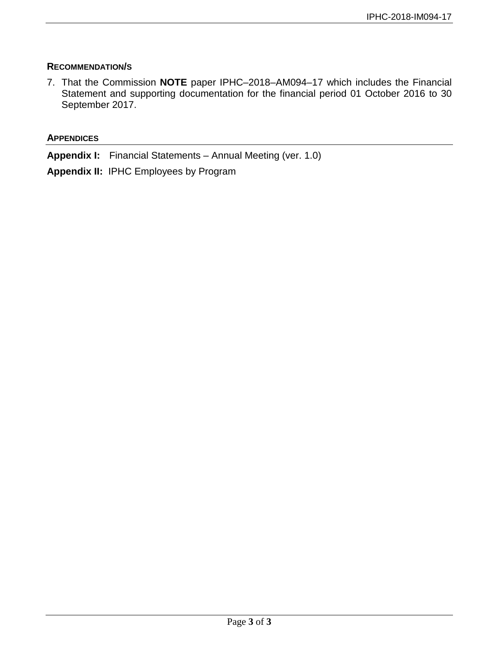### **RECOMMENDATION/S**

7. That the Commission **NOTE** paper IPHC–2018–AM094–17 which includes the Financial Statement and supporting documentation for the financial period 01 October 2016 to 30 September 2017.

#### **APPENDICES**

**Appendix I:** Financial Statements – Annual Meeting (ver. 1.0)

**Appendix II:** IPHC Employees by Program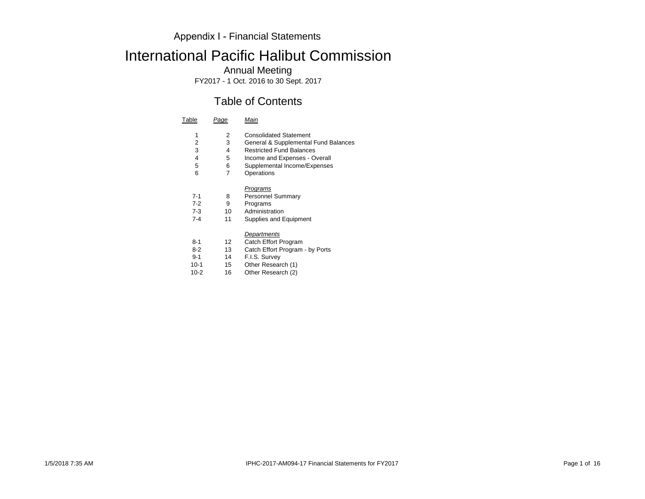# International Pacific Halibut Commission

Annual Meeting

FY2017 - 1 Oct. 2016 to 30 Sept. 2017

## Table of Contents

| Table   | Page | Main                                 |
|---------|------|--------------------------------------|
| 1       | 2    | <b>Consolidated Statement</b>        |
| 2       | 3    | General & Supplemental Fund Balances |
| 3       | 4    | <b>Restricted Fund Balances</b>      |
| 4       | 5    | Income and Expenses - Overall        |
| 5       | 6    | Supplemental Income/Expenses         |
| 6       | 7    | Operations                           |
|         |      | Programs                             |
| 7-1     | 8    | <b>Personnel Summary</b>             |
| $7-2$   | 9    | Programs                             |
| 7-3     | 10   | Administration                       |
| $7 - 4$ | 11   | Supplies and Equipment               |
|         |      | Departments                          |
| 8-1     | 12   | Catch Effort Program                 |
| 8-2     | 13   | Catch Effort Program - by Ports      |
| $9 - 1$ | 14   | F.I.S. Survey                        |
|         |      |                                      |

10-1 15 Other Research (1)<br>10-2 16 Other Research (2) Other Research  $(2)$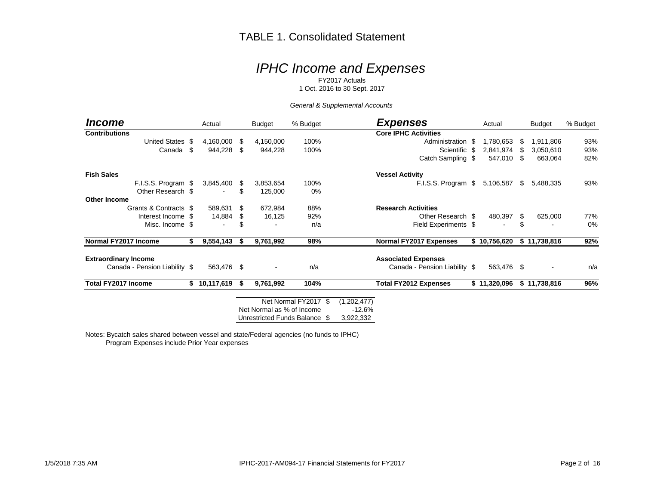### TABLE 1. Consolidated Statement

# *IPHC Income and Expenses*

FY2017 Actuals

1 Oct. 2016 to 30 Sept. 2017

#### *General & Supplemental Accounts*

| Income                        |      | Actual       |      | <b>Budget</b>             | % Budget                      |                         | <b>Expenses</b>               | Actual       |     | <b>Budget</b> | % Budget |
|-------------------------------|------|--------------|------|---------------------------|-------------------------------|-------------------------|-------------------------------|--------------|-----|---------------|----------|
| <b>Contributions</b>          |      |              |      |                           |                               |                         | <b>Core IPHC Activities</b>   |              |     |               |          |
| <b>United States</b>          | - \$ | 4,160,000 \$ |      | 4,150,000                 | 100%                          |                         | Administration \$             | 1,780,653    | S   | 1,911,806     | 93%      |
| Canada                        | \$   | 944,228 \$   |      | 944,228                   | 100%                          |                         | Scientific \$                 | 2,841,974    | \$. | 3,050,610     | 93%      |
|                               |      |              |      |                           |                               |                         | Catch Sampling \$             | 547,010      | \$. | 663,064       | 82%      |
| <b>Fish Sales</b>             |      |              |      |                           |                               |                         | <b>Vessel Activity</b>        |              |     |               |          |
| F.I.S.S. Program \$           |      | 3,845,400 \$ |      | 3,853,654                 | 100%                          |                         | F.I.S.S. Program \$           | 5,106,587    | \$  | 5,488,335     | 93%      |
| Other Research \$             |      |              |      | 125,000                   | 0%                            |                         |                               |              |     |               |          |
| <b>Other Income</b>           |      |              |      |                           |                               |                         |                               |              |     |               |          |
| Grants & Contracts \$         |      | 589,631      | - \$ | 672,984                   | 88%                           |                         | <b>Research Activities</b>    |              |     |               |          |
| Interest Income \$            |      | 14,884       | \$   | 16,125                    | 92%                           |                         | Other Research \$             | 480,397      | S.  | 625,000       | 77%      |
| Misc. Income \$               |      |              |      |                           | n/a                           |                         | Field Experiments \$          |              | \$  |               | 0%       |
| Normal FY2017 Income          | S    | 9,554,143    | S.   | 9,761,992                 | 98%                           |                         | <b>Normal FY2017 Expenses</b> | \$10,756,620 |     | \$11,738,816  | 92%      |
| <b>Extraordinary Income</b>   |      |              |      |                           |                               |                         | <b>Associated Expenses</b>    |              |     |               |          |
| Canada - Pension Liability \$ |      | 563,476 \$   |      |                           | n/a                           |                         | Canada - Pension Liability \$ | 563,476 \$   |     |               | n/a      |
| <b>Total FY2017 Income</b>    | S.   | 10,117,619   | - 56 | 9,761,992                 | 104%                          |                         | <b>Total FY2012 Expenses</b>  | \$11,320,096 |     | \$11,738,816  | 96%      |
|                               |      |              |      |                           | Net Normal FY2017 \$          |                         |                               |              |     |               |          |
|                               |      |              |      | Net Normal as % of Income |                               | (1,202,477)<br>$-12.6%$ |                               |              |     |               |          |
|                               |      |              |      |                           |                               |                         |                               |              |     |               |          |
|                               |      |              |      |                           | Unrestricted Funds Balance \$ | 3,922,332               |                               |              |     |               |          |

Notes: Bycatch sales shared between vessel and state/Federal agencies (no funds to IPHC) Program Expenses include Prior Year expenses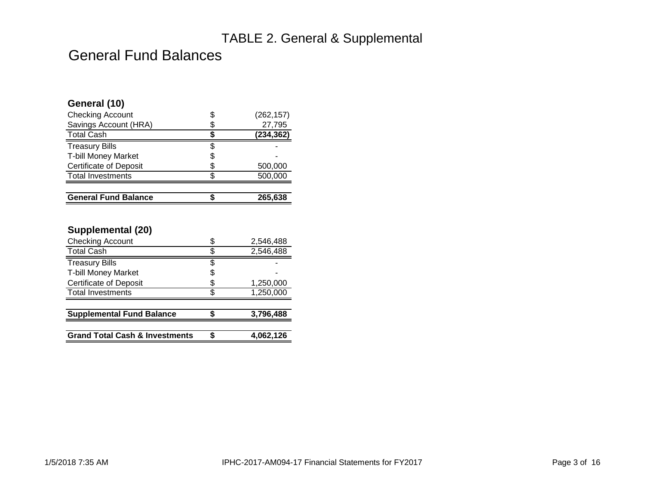# TABLE 2. General & Supplemental

# General Fund Balances

| General (10)                  |    |            |
|-------------------------------|----|------------|
| <b>Checking Account</b>       | S  | (262, 157) |
| Savings Account (HRA)         |    | 27,795     |
| <b>Total Cash</b>             |    | (234,362)  |
| <b>Treasury Bills</b>         |    |            |
| <b>T-bill Money Market</b>    | \$ |            |
| <b>Certificate of Deposit</b> | S  | 500,000    |
| <b>Total Investments</b>      |    | 500,000    |
|                               |    |            |
| <b>General Fund Balance</b>   |    | 265.638    |

### **Supplemental (20)**

| <b>Checking Account</b>                   |    | 2,546,488 |
|-------------------------------------------|----|-----------|
| <b>Total Cash</b>                         |    | 2,546,488 |
| <b>Treasury Bills</b>                     | \$ |           |
| <b>T-bill Money Market</b>                | S  |           |
| <b>Certificate of Deposit</b>             | \$ | 1,250,000 |
| <b>Total Investments</b>                  |    | 1,250,000 |
|                                           |    |           |
| <b>Supplemental Fund Balance</b>          |    | 3,796,488 |
|                                           |    |           |
| <b>Grand Total Cash &amp; Investments</b> |    | 4,062,126 |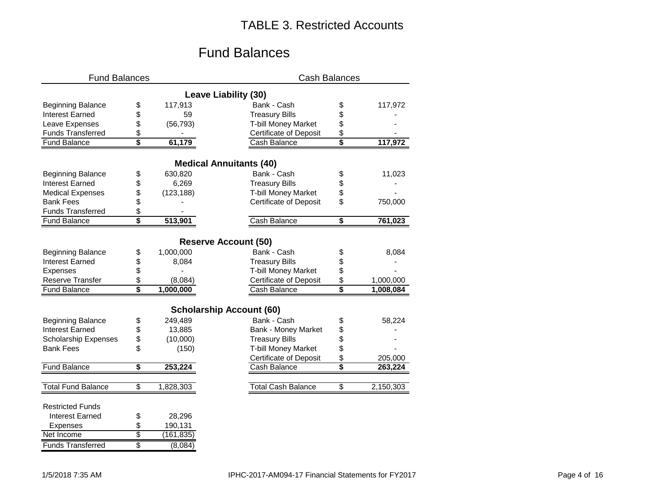# TABLE 3. Restricted Accounts

# Fund Balances

| <b>Fund Balances</b>        |                  | <b>Cash Balances</b>            |    |           |  |  |  |  |  |
|-----------------------------|------------------|---------------------------------|----|-----------|--|--|--|--|--|
|                             |                  | <b>Leave Liability (30)</b>     |    |           |  |  |  |  |  |
| <b>Beginning Balance</b>    | \$<br>117,913    | Bank - Cash                     | \$ | 117,972   |  |  |  |  |  |
| <b>Interest Earned</b>      | \$<br>59         | <b>Treasury Bills</b>           | \$ |           |  |  |  |  |  |
| Leave Expenses              | \$<br>(56, 793)  | T-bill Money Market             | \$ |           |  |  |  |  |  |
| <b>Funds Transferred</b>    | \$               | <b>Certificate of Deposit</b>   | \$ |           |  |  |  |  |  |
| <b>Fund Balance</b>         | \$<br>61,179     | Cash Balance                    | \$ | 117,972   |  |  |  |  |  |
|                             |                  | <b>Medical Annuitants (40)</b>  |    |           |  |  |  |  |  |
| <b>Beginning Balance</b>    | \$<br>630,820    | Bank - Cash                     | \$ | 11,023    |  |  |  |  |  |
| <b>Interest Earned</b>      | \$<br>6,269      | <b>Treasury Bills</b>           | \$ |           |  |  |  |  |  |
| <b>Medical Expenses</b>     | \$<br>(123, 188) | <b>T-bill Money Market</b>      | \$ |           |  |  |  |  |  |
| <b>Bank Fees</b>            | \$               | <b>Certificate of Deposit</b>   | \$ | 750,000   |  |  |  |  |  |
| <b>Funds Transferred</b>    | \$               |                                 |    |           |  |  |  |  |  |
| <b>Fund Balance</b>         | \$<br>513,901    | Cash Balance                    | \$ | 761,023   |  |  |  |  |  |
|                             |                  | <b>Reserve Account (50)</b>     |    |           |  |  |  |  |  |
| <b>Beginning Balance</b>    | \$<br>1,000,000  | Bank - Cash                     | \$ | 8,084     |  |  |  |  |  |
| <b>Interest Earned</b>      | \$<br>8,084      | <b>Treasury Bills</b>           | \$ |           |  |  |  |  |  |
| Expenses                    | \$               | <b>T-bill Money Market</b>      | \$ |           |  |  |  |  |  |
| <b>Reserve Transfer</b>     | \$<br>(8,084)    | <b>Certificate of Deposit</b>   | \$ | 1,000,000 |  |  |  |  |  |
| <b>Fund Balance</b>         | \$<br>1,000,000  | Cash Balance                    | \$ | 1,008,084 |  |  |  |  |  |
|                             |                  |                                 |    |           |  |  |  |  |  |
|                             |                  | <b>Scholarship Account (60)</b> |    |           |  |  |  |  |  |
| <b>Beginning Balance</b>    | \$<br>249,489    | Bank - Cash                     | \$ | 58,224    |  |  |  |  |  |
| <b>Interest Earned</b>      | \$<br>13,885     | <b>Bank - Money Market</b>      | \$ |           |  |  |  |  |  |
| <b>Scholarship Expenses</b> | \$<br>(10,000)   | <b>Treasury Bills</b>           | \$ |           |  |  |  |  |  |
| <b>Bank Fees</b>            | \$<br>(150)      | T-bill Money Market             | \$ |           |  |  |  |  |  |
|                             |                  | <b>Certificate of Deposit</b>   | \$ | 205,000   |  |  |  |  |  |
| <b>Fund Balance</b>         | \$<br>253,224    | Cash Balance                    | \$ | 263,224   |  |  |  |  |  |
| <b>Total Fund Balance</b>   | \$<br>1,828,303  | <b>Total Cash Balance</b>       | \$ | 2,150,303 |  |  |  |  |  |
|                             |                  |                                 |    |           |  |  |  |  |  |
| <b>Restricted Funds</b>     |                  |                                 |    |           |  |  |  |  |  |
| <b>Interest Earned</b>      | \$<br>28,296     |                                 |    |           |  |  |  |  |  |
| <b>Expenses</b>             | \$<br>190,131    |                                 |    |           |  |  |  |  |  |
| Net Income                  | \$<br>(161,835)  |                                 |    |           |  |  |  |  |  |
| <b>Funds Transferred</b>    | \$<br>(8,084)    |                                 |    |           |  |  |  |  |  |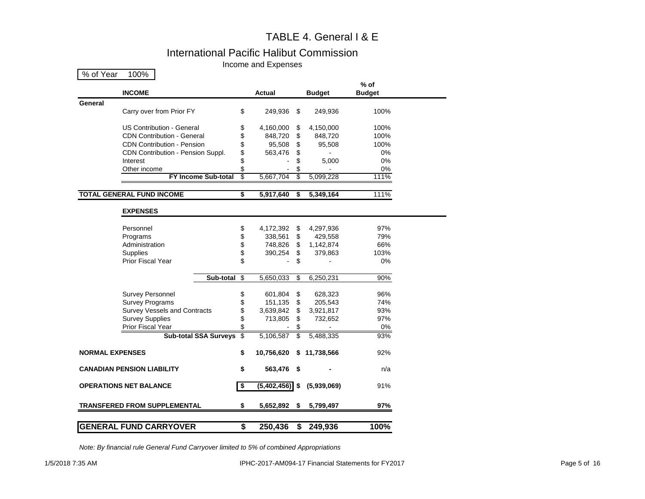### TABLE 4. General I & E

### International Pacific Halibut Commission

Income and Expenses

| % of Year<br>100%                   |    |             |      |               |                       |
|-------------------------------------|----|-------------|------|---------------|-----------------------|
| <b>INCOME</b>                       |    | Actual      |      | <b>Budget</b> | % of<br><b>Budget</b> |
| General                             |    |             |      |               |                       |
| Carry over from Prior FY            | \$ | 249,936     | \$   | 249,936       | 100%                  |
|                                     |    |             |      |               |                       |
| US Contribution - General           | \$ | 4,160,000   | \$   | 4,150,000     | 100%                  |
| <b>CDN Contribution - General</b>   | \$ | 848,720     | \$   | 848,720       | 100%                  |
| <b>CDN Contribution - Pension</b>   | \$ | 95,508      | \$   | 95,508        | 100%                  |
| CDN Contribution - Pension Suppl.   | \$ | 563,476     | \$   |               | 0%                    |
| Interest                            | \$ |             | \$   | 5,000         | $0\%$                 |
| Other income                        | \$ |             | \$   |               | $0\%$                 |
| <b>FY Income Sub-total</b>          | 3  | 5,667,704   | S    | 5,099,228     | 111%                  |
| <b>TOTAL GENERAL FUND INCOME</b>    | \$ | 5,917,640   | \$   | 5,349,164     | 111%                  |
|                                     |    |             |      |               |                       |
| <b>EXPENSES</b>                     |    |             |      |               |                       |
| Personnel                           | \$ | 4,172,392   | \$   | 4,297,936     | 97%                   |
| Programs                            | \$ | 338,561     | \$   | 429,558       | 79%                   |
| Administration                      | \$ | 748,826     | \$   | 1,142,874     | 66%                   |
| Supplies                            | \$ | 390,254     | \$   | 379,863       | 103%                  |
| Prior Fiscal Year                   | \$ |             | \$   |               | 0%                    |
| Sub-total                           | \$ | 5,650,033   | \$   | 6,250,231     | 90%                   |
|                                     |    |             |      |               |                       |
| <b>Survey Personnel</b>             | \$ | 601,804     | \$   | 628,323       | 96%                   |
| <b>Survey Programs</b>              | \$ | 151,135     | \$   | 205,543       | 74%                   |
| <b>Survey Vessels and Contracts</b> | \$ | 3,639,842   | \$   | 3,921,817     | 93%                   |
| <b>Survey Supplies</b>              | \$ | 713,805     | \$   | 732,652       | 97%                   |
| <b>Prior Fiscal Year</b>            | \$ |             | \$   |               | 0%                    |
| <b>Sub-total SSA Surveys</b>        | \$ | 5,106,587   | \$   | 5,488,335     | 93%                   |
| <b>NORMAL EXPENSES</b>              | \$ | 10,756,620  | S    | 11,738,566    | 92%                   |
| <b>CANADIAN PENSION LIABILITY</b>   | \$ | 563,476     | - \$ |               | n/a                   |
| <b>OPERATIONS NET BALANCE</b>       | \$ | (5,402,456) | \$   | (5,939,069)   | 91%                   |
| <b>TRANSFERED FROM SUPPLEMENTAL</b> | \$ | 5,652,892   | \$   | 5,799,497     | 97%                   |
|                                     |    |             |      |               |                       |

*Note: By financial rule General Fund Carryover limited to 5% of combined Appropriations*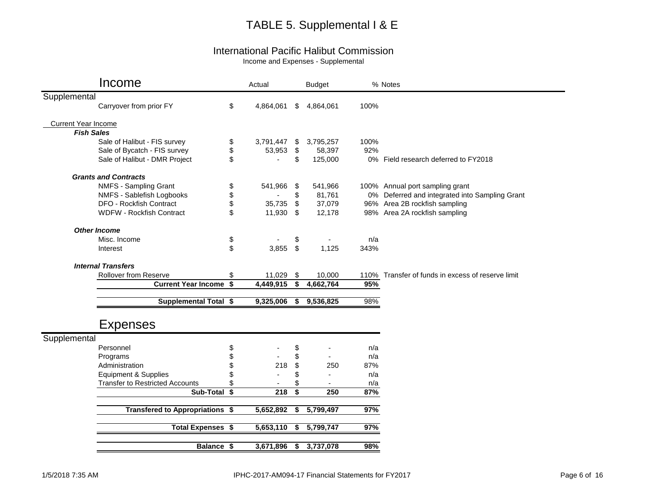# TABLE 5. Supplemental I & E

### International Pacific Halibut Commission

Income and Expenses - Supplemental

|                            | Income                                 |    | Actual     |                                      | <b>Budget</b>  |      | % Notes                                           |
|----------------------------|----------------------------------------|----|------------|--------------------------------------|----------------|------|---------------------------------------------------|
| Supplemental               |                                        |    |            |                                      |                |      |                                                   |
|                            | Carryover from prior FY                | \$ | 4,864,061  | \$                                   | 4,864,061      | 100% |                                                   |
| <b>Current Year Income</b> |                                        |    |            |                                      |                |      |                                                   |
| <b>Fish Sales</b>          |                                        |    |            |                                      |                |      |                                                   |
|                            | Sale of Halibut - FIS survey           | \$ | 3,791,447  | \$                                   | 3,795,257      | 100% |                                                   |
|                            | Sale of Bycatch - FIS survey           | \$ | 53,953     | $\sqrt[6]{3}$                        | 58,397         | 92%  |                                                   |
|                            | Sale of Halibut - DMR Project          | \$ |            | \$                                   | 125,000        |      | 0% Field research deferred to FY2018              |
|                            | <b>Grants and Contracts</b>            |    |            |                                      |                |      |                                                   |
|                            | NMFS - Sampling Grant                  | \$ | 541,966    | \$                                   | 541,966        |      | 100% Annual port sampling grant                   |
|                            | NMFS - Sablefish Logbooks              | \$ |            | \$                                   | 81,761         |      | 0% Deferred and integrated into Sampling Grant    |
|                            | DFO - Rockfish Contract                | \$ | 35,735     | \$                                   | 37,079         |      | 96% Area 2B rockfish sampling                     |
|                            | <b>WDFW - Rockfish Contract</b>        | \$ | 11,930 \$  |                                      | 12,178         |      | 98% Area 2A rockfish sampling                     |
|                            | <b>Other Income</b>                    |    |            |                                      |                |      |                                                   |
|                            | Misc. Income                           | \$ |            | \$                                   |                | n/a  |                                                   |
|                            | Interest                               | \$ | $3,855$ \$ |                                      | 1,125          | 343% |                                                   |
|                            | <b>Internal Transfers</b>              |    |            |                                      |                |      |                                                   |
|                            | <b>Rollover from Reserve</b>           | \$ | 11,029     | \$                                   | 10,000         |      | 110% Transfer of funds in excess of reserve limit |
|                            | <b>Current Year Income \$</b>          |    | 4,449,915  | $\sqrt[6]{\frac{1}{2}}$              | 4,662,764      | 95%  |                                                   |
|                            | <b>Supplemental Total \$</b>           |    | 9,325,006  | \$                                   | 9,536,825      | 98%  |                                                   |
|                            |                                        |    |            |                                      |                |      |                                                   |
|                            | <b>Expenses</b>                        |    |            |                                      |                |      |                                                   |
| Supplemental               |                                        |    |            |                                      |                |      |                                                   |
|                            | Personnel                              | \$ |            | \$                                   |                | n/a  |                                                   |
|                            | Programs                               | \$ |            | \$                                   | $\blacksquare$ | n/a  |                                                   |
|                            | Administration                         | \$ | 218        | \$                                   | 250            | 87%  |                                                   |
|                            | <b>Equipment &amp; Supplies</b>        | S  |            | \$                                   |                | n/a  |                                                   |
|                            | <b>Transfer to Restricted Accounts</b> | \$ |            | \$                                   |                | n/a  |                                                   |
|                            | Sub-Total \$                           |    | 218        | $\overline{\boldsymbol{\mathsf{s}}}$ | 250            | 87%  |                                                   |
|                            | Transfered to Appropriations \$        |    | 5,652,892  | \$                                   | 5,799,497      | 97%  |                                                   |
|                            | <b>Total Expenses \$</b>               |    | 5,653,110  | \$                                   | 5,799,747      | 97%  |                                                   |
|                            | Balance \$                             |    | 3,671,896  | \$                                   | 3,737,078      | 98%  |                                                   |
|                            |                                        |    |            |                                      |                |      |                                                   |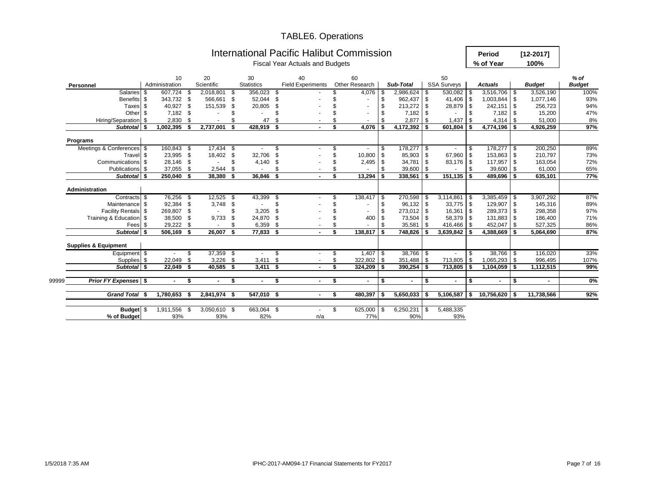#### TABLE6. Operations

| 20<br>30<br>40<br>60<br>10<br>50<br>$%$ of<br>Scientific<br><b>Statistics</b><br><b>Field Experiments</b><br>Other Research<br><b>SSA Surveys</b><br>Sub-Total<br><b>Budget</b><br>Administration<br><b>Actuals</b><br><b>Budget</b><br>Personnel<br>4,076<br>$3,516,706$ \$<br><b>Salaries</b><br>607,724<br>- \$<br>2,018,801<br>356,023<br>2,986,624 \$<br>530,082 \$<br>3,526,190<br>-\$<br>- \$<br>\$<br>-\$<br>- \$<br>566,661<br>962,437 \$<br>41,406 \$<br>1,003,844 \$<br>1,077,146<br><b>Benefits</b><br>S.<br>343,732<br>-S<br>52,044<br>\$<br>\$<br>\$<br>$213,272$ \$<br>28,879 \$<br>S.<br>40,927<br>151,539<br>\$<br>20,805<br>\$<br>242,151 \$<br>256,723<br>Taxes<br>Other<br>\$<br>7,182<br>-\$<br>\$<br>7,182<br>7,182<br>-\$<br>15,200<br>- \$<br>$\blacksquare$<br>$\overline{\phantom{a}}$<br>2,830<br>2,877<br>Hiring/Separation<br>- \$<br>47<br>\$<br>l \$<br>1,437<br>$4,314$ \$<br>51,000<br>- \$<br>-\$<br>2,737,001<br>4,076<br>$4,172,392$ \$<br>4,774,196 \$<br>97%<br>Subtotal \$<br>1,002,395<br>428,919<br>-\$<br>-\$<br>$601,804$ \$<br>4,926,259<br>\$<br>Ŝ.<br>Programs<br>Meetings & Conferences \$<br>160,843<br>17,434<br>178,277 \$<br>178,277 \$<br>200,250<br>\$<br>- \$<br>\$<br>-S<br>10,800<br>85,903 \$<br>67,960<br>153,863 \$<br>Travel \$<br>23,995 \$<br>18,402 \$<br>32,706<br>\$<br>$\sqrt{3}$<br><b>1</b> \$<br>210,797<br>Communications \$<br>28,146<br>\$<br>$2,495$ \$<br>34,781<br>83,176 \$<br>117,957 \$<br><b>S</b><br>4,140<br>\$<br>$\sqrt{3}$<br>163,054<br>\$.<br>$\sim$<br>Publications \$<br>37,055<br>2,544<br>\$<br>-\$<br>$39,600$ \$<br>-\$<br>39,600 \$<br>61,000<br>-\$<br>\$<br>$\blacksquare$<br>$\overline{\phantom{a}}$<br>Subtotal \$<br>250,040 \$<br>36,846 \$<br>$151, 135$ \$<br>38,380<br>\$<br>$13,294$ \$<br>338,561<br><b>IS</b><br>489,696 \$<br>635,101<br>- \$<br>Administration<br>43,399<br>$3,385,459$ \$<br>3,907,292<br>Contracts \$<br>76,256 \$<br>12,525<br>$138,417$ \$<br>270,598 \$<br>3,114,861<br>- \$<br>$\sqrt{3}$<br>l \$<br>$96,132$ \$<br>92,384<br>\$<br>3,748<br>\$<br>\$<br>$33,775$ \$<br>129,907 \$<br>145,316<br>Maintenance \$<br>-\$<br>Facility Rentals \$<br>\$<br>$273,012$ \$<br>$16,361$ \$<br>289,373 \$<br>298,358<br>269,807<br>-\$<br>3,205<br>\$<br>\$<br>Training & Education \$<br>131,883 \$<br>38,500<br>9,733<br>\$<br>24,870<br>73,504 \$<br>58,379 \$<br>186,400<br>-\$<br>\$<br>400<br>\$<br>416,466 \$<br>29,222 \$<br>\$<br>6,359<br>\$<br>35,581<br>452,047 \$<br>527,325<br>Fees \$<br>\$<br>$\sqrt{3}$<br>Subtotal \$<br>506,169 \$<br>26,007<br>77,833 \$<br>138,817<br>$\sqrt{2}$<br>748,826 \$<br>$3,639,842$ \$<br>\$<br>$4,388,669$ \$<br>5,064,690<br><b>Supplies &amp; Equipment</b><br>$37,359$ \$<br>$38,766$ \$<br>$38,766$ \$<br>116,020<br>Equipment \$<br>S<br>S.<br>S<br>$\overline{\phantom{a}}$<br>22,049<br>3,226<br>$322,802$ \$<br>351,488 \$<br>713,805<br>$1,065,293$ \$<br>996,495<br>Supplies \$<br>\$<br>- \$<br>3,411<br>\$<br>-\$<br>Subtotal \$<br>\$<br>$390,254$ \$<br>22,049<br>-\$<br>40,585<br>-\$<br>$3,411$ \$<br>$324,209$ \$<br>713,805 \$<br>$1,104,059$ \$<br>1,112,515<br><b>Prior FY Expenses</b> \$<br>Ŝ.<br>- \$<br>\$<br>\$<br>\$<br>99999<br>\$<br>\$<br>\$<br>۰.<br>$\blacksquare$<br>$\blacksquare$<br>$\blacksquare$<br>$\blacksquare$<br>$\blacksquare$<br><b>Grand Total</b><br>1,780,653<br>2,841,974<br>$547,010$ \$<br>$480,397$ \$<br>$5,650,033$ \$<br>$5,106,587$ \$<br>$10,756,620$ \$<br>11,738,566<br>\$<br>- \$<br>- \$<br>- \$<br>1,911,556<br>$3,050,610$ \$<br>663,064 \$<br>\$<br>625,000 \$<br>6,250,231<br>5,488,335<br>-\$<br>Budget \$<br>-\$<br>77%<br>90%<br>93%<br>93% |             |  |  |     | <b>International Pacific Halibut Commission</b><br><b>Fiscal Year Actuals and Budgets</b> |  |  |     | Period<br>% of Year | $[12 - 2017]$<br>100% |  |      |  |  |  |  |  |
|-----------------------------------------------------------------------------------------------------------------------------------------------------------------------------------------------------------------------------------------------------------------------------------------------------------------------------------------------------------------------------------------------------------------------------------------------------------------------------------------------------------------------------------------------------------------------------------------------------------------------------------------------------------------------------------------------------------------------------------------------------------------------------------------------------------------------------------------------------------------------------------------------------------------------------------------------------------------------------------------------------------------------------------------------------------------------------------------------------------------------------------------------------------------------------------------------------------------------------------------------------------------------------------------------------------------------------------------------------------------------------------------------------------------------------------------------------------------------------------------------------------------------------------------------------------------------------------------------------------------------------------------------------------------------------------------------------------------------------------------------------------------------------------------------------------------------------------------------------------------------------------------------------------------------------------------------------------------------------------------------------------------------------------------------------------------------------------------------------------------------------------------------------------------------------------------------------------------------------------------------------------------------------------------------------------------------------------------------------------------------------------------------------------------------------------------------------------------------------------------------------------------------------------------------------------------------------------------------------------------------------------------------------------------------------------------------------------------------------------------------------------------------------------------------------------------------------------------------------------------------------------------------------------------------------------------------------------------------------------------------------------------------------------------------------------------------------------------------------------------------------------------------------------------------------------------------------------------------------------------------------------------------------------------------------------------------------------------------------------------------------------------------------------------------------------------------------------------------------------------------------------------------------------------------------------------------------------------------------------------------------------------------------------------------------------------|-------------|--|--|-----|-------------------------------------------------------------------------------------------|--|--|-----|---------------------|-----------------------|--|------|--|--|--|--|--|
|                                                                                                                                                                                                                                                                                                                                                                                                                                                                                                                                                                                                                                                                                                                                                                                                                                                                                                                                                                                                                                                                                                                                                                                                                                                                                                                                                                                                                                                                                                                                                                                                                                                                                                                                                                                                                                                                                                                                                                                                                                                                                                                                                                                                                                                                                                                                                                                                                                                                                                                                                                                                                                                                                                                                                                                                                                                                                                                                                                                                                                                                                                                                                                                                                                                                                                                                                                                                                                                                                                                                                                                                                                                                                         |             |  |  |     |                                                                                           |  |  |     |                     |                       |  |      |  |  |  |  |  |
|                                                                                                                                                                                                                                                                                                                                                                                                                                                                                                                                                                                                                                                                                                                                                                                                                                                                                                                                                                                                                                                                                                                                                                                                                                                                                                                                                                                                                                                                                                                                                                                                                                                                                                                                                                                                                                                                                                                                                                                                                                                                                                                                                                                                                                                                                                                                                                                                                                                                                                                                                                                                                                                                                                                                                                                                                                                                                                                                                                                                                                                                                                                                                                                                                                                                                                                                                                                                                                                                                                                                                                                                                                                                                         |             |  |  |     |                                                                                           |  |  |     |                     |                       |  |      |  |  |  |  |  |
|                                                                                                                                                                                                                                                                                                                                                                                                                                                                                                                                                                                                                                                                                                                                                                                                                                                                                                                                                                                                                                                                                                                                                                                                                                                                                                                                                                                                                                                                                                                                                                                                                                                                                                                                                                                                                                                                                                                                                                                                                                                                                                                                                                                                                                                                                                                                                                                                                                                                                                                                                                                                                                                                                                                                                                                                                                                                                                                                                                                                                                                                                                                                                                                                                                                                                                                                                                                                                                                                                                                                                                                                                                                                                         |             |  |  |     |                                                                                           |  |  |     |                     |                       |  | 100% |  |  |  |  |  |
|                                                                                                                                                                                                                                                                                                                                                                                                                                                                                                                                                                                                                                                                                                                                                                                                                                                                                                                                                                                                                                                                                                                                                                                                                                                                                                                                                                                                                                                                                                                                                                                                                                                                                                                                                                                                                                                                                                                                                                                                                                                                                                                                                                                                                                                                                                                                                                                                                                                                                                                                                                                                                                                                                                                                                                                                                                                                                                                                                                                                                                                                                                                                                                                                                                                                                                                                                                                                                                                                                                                                                                                                                                                                                         |             |  |  |     |                                                                                           |  |  |     |                     |                       |  | 93%  |  |  |  |  |  |
|                                                                                                                                                                                                                                                                                                                                                                                                                                                                                                                                                                                                                                                                                                                                                                                                                                                                                                                                                                                                                                                                                                                                                                                                                                                                                                                                                                                                                                                                                                                                                                                                                                                                                                                                                                                                                                                                                                                                                                                                                                                                                                                                                                                                                                                                                                                                                                                                                                                                                                                                                                                                                                                                                                                                                                                                                                                                                                                                                                                                                                                                                                                                                                                                                                                                                                                                                                                                                                                                                                                                                                                                                                                                                         |             |  |  |     |                                                                                           |  |  |     |                     |                       |  | 94%  |  |  |  |  |  |
|                                                                                                                                                                                                                                                                                                                                                                                                                                                                                                                                                                                                                                                                                                                                                                                                                                                                                                                                                                                                                                                                                                                                                                                                                                                                                                                                                                                                                                                                                                                                                                                                                                                                                                                                                                                                                                                                                                                                                                                                                                                                                                                                                                                                                                                                                                                                                                                                                                                                                                                                                                                                                                                                                                                                                                                                                                                                                                                                                                                                                                                                                                                                                                                                                                                                                                                                                                                                                                                                                                                                                                                                                                                                                         |             |  |  |     |                                                                                           |  |  |     |                     |                       |  | 47%  |  |  |  |  |  |
|                                                                                                                                                                                                                                                                                                                                                                                                                                                                                                                                                                                                                                                                                                                                                                                                                                                                                                                                                                                                                                                                                                                                                                                                                                                                                                                                                                                                                                                                                                                                                                                                                                                                                                                                                                                                                                                                                                                                                                                                                                                                                                                                                                                                                                                                                                                                                                                                                                                                                                                                                                                                                                                                                                                                                                                                                                                                                                                                                                                                                                                                                                                                                                                                                                                                                                                                                                                                                                                                                                                                                                                                                                                                                         |             |  |  |     |                                                                                           |  |  |     |                     |                       |  | 8%   |  |  |  |  |  |
|                                                                                                                                                                                                                                                                                                                                                                                                                                                                                                                                                                                                                                                                                                                                                                                                                                                                                                                                                                                                                                                                                                                                                                                                                                                                                                                                                                                                                                                                                                                                                                                                                                                                                                                                                                                                                                                                                                                                                                                                                                                                                                                                                                                                                                                                                                                                                                                                                                                                                                                                                                                                                                                                                                                                                                                                                                                                                                                                                                                                                                                                                                                                                                                                                                                                                                                                                                                                                                                                                                                                                                                                                                                                                         |             |  |  |     |                                                                                           |  |  |     |                     |                       |  |      |  |  |  |  |  |
|                                                                                                                                                                                                                                                                                                                                                                                                                                                                                                                                                                                                                                                                                                                                                                                                                                                                                                                                                                                                                                                                                                                                                                                                                                                                                                                                                                                                                                                                                                                                                                                                                                                                                                                                                                                                                                                                                                                                                                                                                                                                                                                                                                                                                                                                                                                                                                                                                                                                                                                                                                                                                                                                                                                                                                                                                                                                                                                                                                                                                                                                                                                                                                                                                                                                                                                                                                                                                                                                                                                                                                                                                                                                                         |             |  |  |     |                                                                                           |  |  |     |                     |                       |  |      |  |  |  |  |  |
|                                                                                                                                                                                                                                                                                                                                                                                                                                                                                                                                                                                                                                                                                                                                                                                                                                                                                                                                                                                                                                                                                                                                                                                                                                                                                                                                                                                                                                                                                                                                                                                                                                                                                                                                                                                                                                                                                                                                                                                                                                                                                                                                                                                                                                                                                                                                                                                                                                                                                                                                                                                                                                                                                                                                                                                                                                                                                                                                                                                                                                                                                                                                                                                                                                                                                                                                                                                                                                                                                                                                                                                                                                                                                         |             |  |  |     |                                                                                           |  |  |     |                     |                       |  | 89%  |  |  |  |  |  |
|                                                                                                                                                                                                                                                                                                                                                                                                                                                                                                                                                                                                                                                                                                                                                                                                                                                                                                                                                                                                                                                                                                                                                                                                                                                                                                                                                                                                                                                                                                                                                                                                                                                                                                                                                                                                                                                                                                                                                                                                                                                                                                                                                                                                                                                                                                                                                                                                                                                                                                                                                                                                                                                                                                                                                                                                                                                                                                                                                                                                                                                                                                                                                                                                                                                                                                                                                                                                                                                                                                                                                                                                                                                                                         |             |  |  |     |                                                                                           |  |  |     |                     |                       |  | 73%  |  |  |  |  |  |
|                                                                                                                                                                                                                                                                                                                                                                                                                                                                                                                                                                                                                                                                                                                                                                                                                                                                                                                                                                                                                                                                                                                                                                                                                                                                                                                                                                                                                                                                                                                                                                                                                                                                                                                                                                                                                                                                                                                                                                                                                                                                                                                                                                                                                                                                                                                                                                                                                                                                                                                                                                                                                                                                                                                                                                                                                                                                                                                                                                                                                                                                                                                                                                                                                                                                                                                                                                                                                                                                                                                                                                                                                                                                                         |             |  |  |     |                                                                                           |  |  |     |                     |                       |  | 72%  |  |  |  |  |  |
|                                                                                                                                                                                                                                                                                                                                                                                                                                                                                                                                                                                                                                                                                                                                                                                                                                                                                                                                                                                                                                                                                                                                                                                                                                                                                                                                                                                                                                                                                                                                                                                                                                                                                                                                                                                                                                                                                                                                                                                                                                                                                                                                                                                                                                                                                                                                                                                                                                                                                                                                                                                                                                                                                                                                                                                                                                                                                                                                                                                                                                                                                                                                                                                                                                                                                                                                                                                                                                                                                                                                                                                                                                                                                         |             |  |  |     |                                                                                           |  |  |     |                     |                       |  | 65%  |  |  |  |  |  |
|                                                                                                                                                                                                                                                                                                                                                                                                                                                                                                                                                                                                                                                                                                                                                                                                                                                                                                                                                                                                                                                                                                                                                                                                                                                                                                                                                                                                                                                                                                                                                                                                                                                                                                                                                                                                                                                                                                                                                                                                                                                                                                                                                                                                                                                                                                                                                                                                                                                                                                                                                                                                                                                                                                                                                                                                                                                                                                                                                                                                                                                                                                                                                                                                                                                                                                                                                                                                                                                                                                                                                                                                                                                                                         |             |  |  |     |                                                                                           |  |  |     |                     |                       |  | 77%  |  |  |  |  |  |
|                                                                                                                                                                                                                                                                                                                                                                                                                                                                                                                                                                                                                                                                                                                                                                                                                                                                                                                                                                                                                                                                                                                                                                                                                                                                                                                                                                                                                                                                                                                                                                                                                                                                                                                                                                                                                                                                                                                                                                                                                                                                                                                                                                                                                                                                                                                                                                                                                                                                                                                                                                                                                                                                                                                                                                                                                                                                                                                                                                                                                                                                                                                                                                                                                                                                                                                                                                                                                                                                                                                                                                                                                                                                                         |             |  |  |     |                                                                                           |  |  |     |                     |                       |  |      |  |  |  |  |  |
|                                                                                                                                                                                                                                                                                                                                                                                                                                                                                                                                                                                                                                                                                                                                                                                                                                                                                                                                                                                                                                                                                                                                                                                                                                                                                                                                                                                                                                                                                                                                                                                                                                                                                                                                                                                                                                                                                                                                                                                                                                                                                                                                                                                                                                                                                                                                                                                                                                                                                                                                                                                                                                                                                                                                                                                                                                                                                                                                                                                                                                                                                                                                                                                                                                                                                                                                                                                                                                                                                                                                                                                                                                                                                         |             |  |  |     |                                                                                           |  |  |     |                     |                       |  | 87%  |  |  |  |  |  |
|                                                                                                                                                                                                                                                                                                                                                                                                                                                                                                                                                                                                                                                                                                                                                                                                                                                                                                                                                                                                                                                                                                                                                                                                                                                                                                                                                                                                                                                                                                                                                                                                                                                                                                                                                                                                                                                                                                                                                                                                                                                                                                                                                                                                                                                                                                                                                                                                                                                                                                                                                                                                                                                                                                                                                                                                                                                                                                                                                                                                                                                                                                                                                                                                                                                                                                                                                                                                                                                                                                                                                                                                                                                                                         |             |  |  |     |                                                                                           |  |  |     |                     |                       |  | 89%  |  |  |  |  |  |
|                                                                                                                                                                                                                                                                                                                                                                                                                                                                                                                                                                                                                                                                                                                                                                                                                                                                                                                                                                                                                                                                                                                                                                                                                                                                                                                                                                                                                                                                                                                                                                                                                                                                                                                                                                                                                                                                                                                                                                                                                                                                                                                                                                                                                                                                                                                                                                                                                                                                                                                                                                                                                                                                                                                                                                                                                                                                                                                                                                                                                                                                                                                                                                                                                                                                                                                                                                                                                                                                                                                                                                                                                                                                                         |             |  |  |     |                                                                                           |  |  |     |                     |                       |  | 97%  |  |  |  |  |  |
|                                                                                                                                                                                                                                                                                                                                                                                                                                                                                                                                                                                                                                                                                                                                                                                                                                                                                                                                                                                                                                                                                                                                                                                                                                                                                                                                                                                                                                                                                                                                                                                                                                                                                                                                                                                                                                                                                                                                                                                                                                                                                                                                                                                                                                                                                                                                                                                                                                                                                                                                                                                                                                                                                                                                                                                                                                                                                                                                                                                                                                                                                                                                                                                                                                                                                                                                                                                                                                                                                                                                                                                                                                                                                         |             |  |  |     |                                                                                           |  |  |     |                     |                       |  | 71%  |  |  |  |  |  |
|                                                                                                                                                                                                                                                                                                                                                                                                                                                                                                                                                                                                                                                                                                                                                                                                                                                                                                                                                                                                                                                                                                                                                                                                                                                                                                                                                                                                                                                                                                                                                                                                                                                                                                                                                                                                                                                                                                                                                                                                                                                                                                                                                                                                                                                                                                                                                                                                                                                                                                                                                                                                                                                                                                                                                                                                                                                                                                                                                                                                                                                                                                                                                                                                                                                                                                                                                                                                                                                                                                                                                                                                                                                                                         |             |  |  |     |                                                                                           |  |  |     |                     |                       |  | 86%  |  |  |  |  |  |
|                                                                                                                                                                                                                                                                                                                                                                                                                                                                                                                                                                                                                                                                                                                                                                                                                                                                                                                                                                                                                                                                                                                                                                                                                                                                                                                                                                                                                                                                                                                                                                                                                                                                                                                                                                                                                                                                                                                                                                                                                                                                                                                                                                                                                                                                                                                                                                                                                                                                                                                                                                                                                                                                                                                                                                                                                                                                                                                                                                                                                                                                                                                                                                                                                                                                                                                                                                                                                                                                                                                                                                                                                                                                                         |             |  |  |     |                                                                                           |  |  |     |                     |                       |  | 87%  |  |  |  |  |  |
|                                                                                                                                                                                                                                                                                                                                                                                                                                                                                                                                                                                                                                                                                                                                                                                                                                                                                                                                                                                                                                                                                                                                                                                                                                                                                                                                                                                                                                                                                                                                                                                                                                                                                                                                                                                                                                                                                                                                                                                                                                                                                                                                                                                                                                                                                                                                                                                                                                                                                                                                                                                                                                                                                                                                                                                                                                                                                                                                                                                                                                                                                                                                                                                                                                                                                                                                                                                                                                                                                                                                                                                                                                                                                         |             |  |  |     |                                                                                           |  |  |     |                     |                       |  |      |  |  |  |  |  |
|                                                                                                                                                                                                                                                                                                                                                                                                                                                                                                                                                                                                                                                                                                                                                                                                                                                                                                                                                                                                                                                                                                                                                                                                                                                                                                                                                                                                                                                                                                                                                                                                                                                                                                                                                                                                                                                                                                                                                                                                                                                                                                                                                                                                                                                                                                                                                                                                                                                                                                                                                                                                                                                                                                                                                                                                                                                                                                                                                                                                                                                                                                                                                                                                                                                                                                                                                                                                                                                                                                                                                                                                                                                                                         |             |  |  |     |                                                                                           |  |  |     |                     |                       |  | 33%  |  |  |  |  |  |
|                                                                                                                                                                                                                                                                                                                                                                                                                                                                                                                                                                                                                                                                                                                                                                                                                                                                                                                                                                                                                                                                                                                                                                                                                                                                                                                                                                                                                                                                                                                                                                                                                                                                                                                                                                                                                                                                                                                                                                                                                                                                                                                                                                                                                                                                                                                                                                                                                                                                                                                                                                                                                                                                                                                                                                                                                                                                                                                                                                                                                                                                                                                                                                                                                                                                                                                                                                                                                                                                                                                                                                                                                                                                                         |             |  |  |     |                                                                                           |  |  |     |                     |                       |  | 107% |  |  |  |  |  |
|                                                                                                                                                                                                                                                                                                                                                                                                                                                                                                                                                                                                                                                                                                                                                                                                                                                                                                                                                                                                                                                                                                                                                                                                                                                                                                                                                                                                                                                                                                                                                                                                                                                                                                                                                                                                                                                                                                                                                                                                                                                                                                                                                                                                                                                                                                                                                                                                                                                                                                                                                                                                                                                                                                                                                                                                                                                                                                                                                                                                                                                                                                                                                                                                                                                                                                                                                                                                                                                                                                                                                                                                                                                                                         |             |  |  |     |                                                                                           |  |  |     |                     |                       |  | 99%  |  |  |  |  |  |
|                                                                                                                                                                                                                                                                                                                                                                                                                                                                                                                                                                                                                                                                                                                                                                                                                                                                                                                                                                                                                                                                                                                                                                                                                                                                                                                                                                                                                                                                                                                                                                                                                                                                                                                                                                                                                                                                                                                                                                                                                                                                                                                                                                                                                                                                                                                                                                                                                                                                                                                                                                                                                                                                                                                                                                                                                                                                                                                                                                                                                                                                                                                                                                                                                                                                                                                                                                                                                                                                                                                                                                                                                                                                                         |             |  |  |     |                                                                                           |  |  |     |                     |                       |  | 0%   |  |  |  |  |  |
|                                                                                                                                                                                                                                                                                                                                                                                                                                                                                                                                                                                                                                                                                                                                                                                                                                                                                                                                                                                                                                                                                                                                                                                                                                                                                                                                                                                                                                                                                                                                                                                                                                                                                                                                                                                                                                                                                                                                                                                                                                                                                                                                                                                                                                                                                                                                                                                                                                                                                                                                                                                                                                                                                                                                                                                                                                                                                                                                                                                                                                                                                                                                                                                                                                                                                                                                                                                                                                                                                                                                                                                                                                                                                         |             |  |  |     |                                                                                           |  |  |     |                     |                       |  | 92%  |  |  |  |  |  |
|                                                                                                                                                                                                                                                                                                                                                                                                                                                                                                                                                                                                                                                                                                                                                                                                                                                                                                                                                                                                                                                                                                                                                                                                                                                                                                                                                                                                                                                                                                                                                                                                                                                                                                                                                                                                                                                                                                                                                                                                                                                                                                                                                                                                                                                                                                                                                                                                                                                                                                                                                                                                                                                                                                                                                                                                                                                                                                                                                                                                                                                                                                                                                                                                                                                                                                                                                                                                                                                                                                                                                                                                                                                                                         |             |  |  |     |                                                                                           |  |  |     |                     |                       |  |      |  |  |  |  |  |
|                                                                                                                                                                                                                                                                                                                                                                                                                                                                                                                                                                                                                                                                                                                                                                                                                                                                                                                                                                                                                                                                                                                                                                                                                                                                                                                                                                                                                                                                                                                                                                                                                                                                                                                                                                                                                                                                                                                                                                                                                                                                                                                                                                                                                                                                                                                                                                                                                                                                                                                                                                                                                                                                                                                                                                                                                                                                                                                                                                                                                                                                                                                                                                                                                                                                                                                                                                                                                                                                                                                                                                                                                                                                                         | % of Budget |  |  | 82% | n/a                                                                                       |  |  | 93% |                     |                       |  |      |  |  |  |  |  |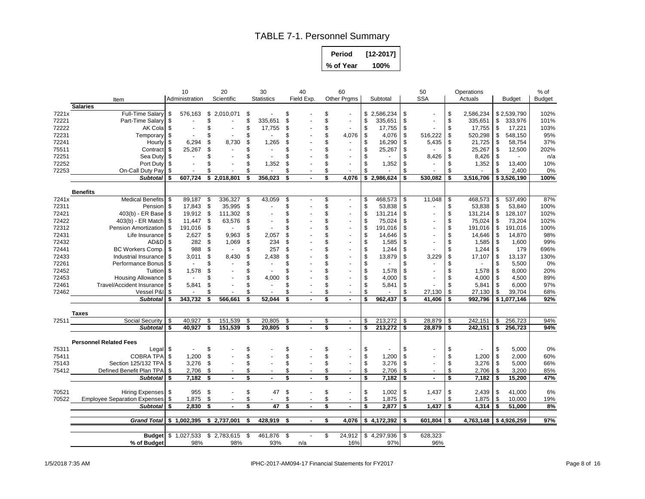# TABLE 7-1. Personnel Summary

| Period    | $[12-2017]$ |
|-----------|-------------|
| % of Year | 100%        |

|       |                                     | 10<br>Administration       |            | 20<br>Scientific     |     | 30<br><b>Statistics</b> |      | 40<br>Field Exp. |     | 60<br><b>Other Prgms</b> | Subtotal      |          | 50<br><b>SSA</b> |    | Operations<br>Actuals | <b>Budget</b> | $%$ of<br>Budget |
|-------|-------------------------------------|----------------------------|------------|----------------------|-----|-------------------------|------|------------------|-----|--------------------------|---------------|----------|------------------|----|-----------------------|---------------|------------------|
|       | Item<br><b>Salaries</b>             |                            |            |                      |     |                         |      |                  |     |                          |               |          |                  |    |                       |               |                  |
| 7221x | <b>Full-Time Salarv</b>             | \$<br>576.163              |            | -\$<br>2.010.071     | \$  |                         |      |                  | \$. | $\overline{\phantom{a}}$ | \$2,586,234   | \$       |                  | \$ | 2,586,234             | \$2,539,790   | 102%             |
| 72221 | Part-Time Salary                    | -\$                        |            | \$                   | \$  | 335,651                 | S.   |                  |     | $\blacksquare$           | \$<br>335,651 | \$       |                  | \$ | 335,651               | \$<br>333,976 | 101%             |
| 72222 | AK Cola                             | \$                         |            |                      | \$  | 17,755                  | S.   |                  | \$  | $\blacksquare$           | \$<br>17,755  | \$       |                  |    | 17,755                | \$<br>17,221  | 103%             |
| 72231 | Temporary \$                        |                            |            |                      | \$  |                         |      |                  | \$  | 4,076                    | \$<br>4,076   | \$       | 516,222          | \$ | 520,298               | \$<br>548,150 | 95%              |
| 72241 |                                     | \$                         | 6,294      | \$                   | \$  |                         |      |                  |     | $\sim$                   | \$<br>16,290  |          |                  | \$ |                       | \$<br>58,754  | 37%              |
| 75511 | Hourly<br>Contract <sub>\$</sub>    | 25,267                     |            | 8,730<br>\$          | \$  | 1,265                   |      |                  |     |                          | \$<br>25,267  | \$       | 5,435            | \$ | 21,725<br>25,267      | \$<br>12,500  | 202%             |
| 72251 | Sea Duty                            | \$                         | $\sim$     |                      | \$  | $\blacksquare$          |      |                  | \$  | $\overline{\phantom{a}}$ | \$<br>$\sim$  | \$<br>\$ | 8,426            | £. | 8,426                 | \$<br>$\sim$  | n/a              |
| 72252 | Port Duty \$                        |                            |            |                      | \$  | 1,352                   | \$   |                  | \$  | $\overline{\phantom{a}}$ | \$<br>1,352   | \$       |                  |    | 1,352                 | \$<br>13,400  | 10%              |
| 72253 | On-Call Duty Pay                    | \$                         |            |                      | \$  |                         |      |                  | £.  | $\sim$                   | \$            | \$       |                  |    |                       | \$<br>2,400   | 0%               |
|       | <b>Subtotal</b>                     | 607,724<br>\$              |            | \$2,018,801          | \$  | 356,023                 | \$   |                  | \$  | 4,076                    | \$2,986,624   | \$       | 530,082          | \$ | 3,516,706             | \$3,526,190   | 100%             |
|       |                                     |                            |            |                      |     |                         |      |                  |     |                          |               |          |                  |    |                       |               |                  |
|       | <b>Benefits</b>                     |                            |            |                      |     |                         |      |                  |     |                          |               |          |                  |    |                       |               |                  |
| 7241x | <b>Medical Benefits</b>             | 89,187<br>- \$             |            | 336,327<br>\$        | \$  | 43,059                  | \$   |                  | \$  | $\blacksquare$           | \$<br>468,573 | \$       | 11,048           | \$ | 468,573               | \$<br>537,490 | 87%              |
| 72311 | Pension                             | 17,843<br>-\$              |            | 35,995<br>\$         | \$  |                         | \$   |                  | \$  |                          | \$<br>53,838  | \$       |                  | \$ | 53,838                | \$<br>53,840  | 100%             |
| 72421 | 403(b) - ER Base                    | 19,912<br>-S               |            | -\$<br>111,302       | \$  |                         |      |                  | \$  |                          | \$<br>131,214 | \$       |                  | \$ | 131,214               | \$<br>128,107 | 102%             |
| 72422 | 403(b) - ER Match   \$              | 11,447                     |            | \$<br>63,576         | \$  |                         |      |                  | S   |                          | \$<br>75,024  | \$       |                  | \$ | 75,024                | \$<br>73,204  | 102%             |
| 72312 | Pension Amortization                | 191,016<br>\$              |            | \$<br>$\sim$         | \$  |                         |      |                  | S   |                          | \$<br>191,016 | \$       |                  | \$ | 191,016               | \$<br>191,016 | 100%             |
| 72431 | Life Insurance                      | \$                         | 2,627      | \$<br>9,963          | \$  | 2,057                   |      |                  | \$  |                          | \$<br>14,646  | \$       |                  | \$ | 14,646                | \$<br>14,870  | 98%              |
| 72432 | AD&D                                | \$                         | 282        | 1,069<br>\$          | \$  | 234                     |      |                  | \$  |                          | \$<br>1,585   | \$       |                  |    | 1,585                 | \$<br>1,600   | 99%              |
| 72441 | BC Workers Comp.                    | \$                         | 988        | \$<br>$\sim$         | \$  | 257                     |      |                  | \$  |                          | \$<br>1,244   | \$       |                  |    | 1,244                 | \$<br>179     | 696%             |
| 72433 | Industrial Insurance                | S.                         | 3,011      | 8,430<br>\$          | \$  | 2,438                   |      |                  | S   |                          | \$<br>13,879  | \$       | 3,229            | \$ | 17,107                | \$<br>13,137  | 130%             |
| 72261 | Performance Bonus                   | \$                         | $\sim$     | \$                   | \$  |                         |      |                  | \$  |                          | \$            | \$       |                  | \$ | $\sim$                | \$<br>5,500   | 0%               |
| 72452 | <b>Tuition</b>                      | -S                         | 1,578      | \$                   |     |                         |      |                  | \$  |                          | \$<br>1,578   | \$       |                  |    | 1,578                 | \$<br>8,000   | 20%              |
| 72453 | Housing Allowance \$                |                            |            |                      |     | 4,000                   |      |                  |     |                          | \$<br>4,000   | \$       |                  |    | 4,000                 | \$<br>4,500   | 89%              |
| 72461 | <b>Travel/Accident Insurance</b>    | -S                         | 5,841<br>£ |                      | \$  |                         |      |                  | \$  | $\overline{a}$           | \$<br>5,841   | \$       |                  |    | 5,841                 | \$<br>6,000   | 97%              |
| 72462 | Vessel P&I                          | \$                         |            | S                    | \$. |                         |      |                  |     | $\sim$                   | \$            | \$       | 27,130           | \$ | 27,130                | \$<br>39,704  | 68%              |
|       | <b>Subtotal</b>                     | 343,732<br>\$              |            | \$<br>566,661        | \$  | 52,044                  |      |                  | \$  | $\blacksquare$           | \$<br>962,437 | \$       | 41,406           | \$ | 992,796               | \$1,077,146   | 92%              |
|       | <b>Taxes</b>                        |                            |            |                      |     |                         |      |                  |     |                          |               |          |                  |    |                       |               |                  |
| 72511 | <b>Social Security</b>              | \$<br>40,927               |            | \$<br>151,539        | \$  | 20,805                  | \$   |                  | \$  | $\sim$                   | \$<br>213,272 | \$       | 28,879           | \$ | 242,151               | \$<br>256,723 | 94%              |
|       | <b>Subtotal</b>                     | 40,927<br>\$               |            | \$<br>151,539        | \$  | 20,805                  | \$   |                  | s   | $\sim$                   | \$<br>213,272 | \$       | 28,879           | \$ | 242,151               | \$<br>256,723 | 94%              |
|       | <b>Personnel Related Fees</b>       |                            |            |                      |     |                         |      |                  |     |                          |               |          |                  |    |                       |               |                  |
| 75311 | Legal \$                            |                            |            | \$                   | \$  |                         |      |                  | \$  |                          | \$            | \$       |                  | \$ |                       | \$<br>5,000   | 0%               |
| 75411 | <b>COBRA TPA</b>                    | \$                         | 1,200      | \$                   | \$  |                         |      |                  | \$  |                          | \$<br>1,200   | \$       |                  | \$ | 1,200                 | \$<br>2,000   | 60%              |
| 75143 | Section 125/132 TPA                 | \$                         | 3,276      | \$                   | \$  |                         |      |                  | \$  | $\sim$                   | \$<br>3,276   | \$       |                  | \$ | 3,276                 | \$<br>5,000   | 66%              |
| 75412 | Defined Benefit Plan TPA            | -\$                        | 2,706      | \$                   | \$  |                         |      |                  | \$  | $\sim$                   | \$<br>2,706   | \$       |                  | \$ | 2,706                 | \$<br>3,200   | 85%              |
|       | Subtotal \$                         |                            | 7.182      | Ŝ.                   | \$  |                         |      |                  | \$  | $\sim$                   | \$<br>7,182   | s.       | $\blacksquare$   | \$ | 7.182                 | \$<br>15,200  | 47%              |
|       |                                     |                            |            |                      |     |                         |      |                  |     |                          |               |          |                  |    |                       |               |                  |
| 70521 | Hiring Expenses \$                  |                            | 955        | \$                   | \$  | 47                      | - \$ |                  | \$  | $\blacksquare$           | \$<br>1,002   | \$       | 1,437            | \$ | 2,439                 | \$<br>41,000  | 6%               |
| 70522 | <b>Employee Separation Expenses</b> | \$                         | 1,875      | \$                   | \$  |                         |      |                  | \$  | $\overline{\phantom{a}}$ | \$<br>1,875   | \$       |                  | \$ | 1,875                 | \$<br>10,000  | 19%              |
|       | <b>Subtotal</b>                     | \$                         | 2.830      | \$<br>$\blacksquare$ | \$  | 47                      | \$   |                  | \$  | $\blacksquare$           | \$<br>2,877   | \$       | 1,437            | \$ | 4,314                 | \$<br>51,000  | 8%               |
|       | Grand Total   \$ 1,002,395          |                            |            | \$2,737,001          | s.  | 428,919                 | -\$  | $\sim$           | \$  | 4,076                    | \$4,172,392   | - \$     | 601,804          | S  | 4,763,148 \$4,926,259 |               | 97%              |
|       |                                     |                            |            |                      |     |                         |      |                  |     |                          |               |          |                  |    |                       |               |                  |
|       |                                     | <b>Budget</b> \$ 1,027,533 |            | \$2,783,615          | \$  | 461,876                 | \$   |                  | \$  | 24,912                   | \$4,297,936   | \$       | 628,323          |    |                       |               |                  |
|       | % of Budget                         |                            | 98%        | 98%                  |     | 93%                     |      | n/a              |     | 16%                      | 97%           |          | 96%              |    |                       |               |                  |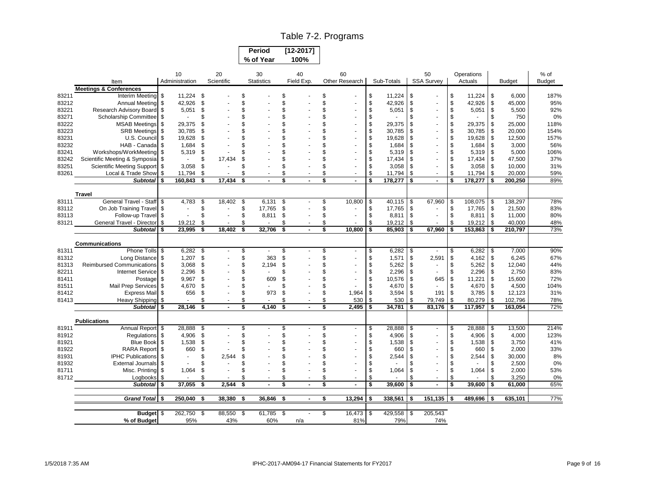### Table 7-2. Programs

| <b>Period</b> | $[12 - 2017]$ |
|---------------|---------------|
| % of Year     | 100%          |

 $\Gamma$  $\overline{\phantom{a}}$ 

|       |                                   |      | 10                       |      | 20             | 30  |                          | 40   |                | 60 |                          |     |            |    | 50                |     | Operations |      |               | % of          |
|-------|-----------------------------------|------|--------------------------|------|----------------|-----|--------------------------|------|----------------|----|--------------------------|-----|------------|----|-------------------|-----|------------|------|---------------|---------------|
|       | Item                              |      | Administration           |      | Scientific     |     | <b>Statistics</b>        |      | Field Exp.     |    | Other Research           |     | Sub-Totals |    | <b>SSA Survey</b> |     | Actuals    |      | <b>Budget</b> | <b>Budget</b> |
|       | <b>Meetings &amp; Conferences</b> |      |                          |      |                |     |                          |      |                |    |                          |     |            |    |                   |     |            |      |               |               |
| 83211 | Interim Meeting                   | -\$  | 11,224 \$                |      |                | \$  |                          | \$   |                | \$ |                          | \$  | 11,224     | \$ |                   | \$  | 11,224     | \$   | 6.000         | 187%          |
| 83212 | Annual Meeting                    | \$   | 42,926                   | \$   |                | \$  |                          | \$   |                | \$ |                          | \$  | 42,926     | \$ |                   | \$  | 42,926     | \$   | 45,000        | 95%           |
| 83221 | Research Advisory Board           | \$   | 5,051                    | \$   |                | \$  |                          | \$   |                | \$ |                          | \$  | 5,051      | \$ |                   | \$  | 5,051      | \$   | 5,500         | 92%           |
| 83271 | Scholarship Committee             | - \$ |                          | \$   |                | \$  |                          | \$   |                | \$ |                          | \$  |            | \$ |                   | \$  |            | \$   | 750           | 0%            |
| 83222 | <b>MSAB Meetings</b>              | \$   | 29.375                   | £    |                |     |                          |      |                | \$ |                          | \$  | 29,375     | £. |                   | \$  | 29,375     | \$   | 25.000        | 118%          |
| 83223 | <b>SRB Meetings</b>               | - \$ | 30,785                   | £    |                | \$  |                          | \$   |                | \$ |                          | \$  | 30,785     | £. |                   | \$  | 30,785     | \$   | 20,000        | 154%          |
| 83231 | U.S. Council                      | - \$ | 19,628                   | £    |                |     |                          |      |                | \$ |                          | \$  | 19,628     | £. |                   | \$  | 19,628     | \$   | 12,500        | 157%          |
| 83232 | HAB - Canada                      | - \$ | 1,684                    | \$   |                | \$  |                          |      |                | \$ |                          | \$  | 1,684      | £. |                   | \$  | 1,684      | - \$ | 3,000         | 56%           |
| 83241 | Workshops/WorkMeeting             | -\$  | 5,319                    | \$   |                |     |                          |      |                |    |                          | \$  | 5,319      | S  |                   | \$  | 5,319      | \$   | 5,000         | 106%          |
| 83242 | Scientific Meeting & Symposia     |      | $\overline{\phantom{a}}$ | \$   | 17,434         | \$  |                          | \$   |                | \$ |                          | \$  | 17,434     | \$ |                   | \$  | 17,434     | \$   | 47,500        | 37%           |
| 83251 | <b>Scientific Meeting Support</b> | -\$  | 3,058                    | \$   |                | \$  |                          |      |                |    |                          | \$  | 3,058      | ß. | $\blacksquare$    | \$  | 3,058      | \$   | 10,000        | 31%           |
| 83261 | Local & Trade Show                | \$   | 11,794 \$                |      |                | \$  |                          | \$   |                | \$ | $\overline{\phantom{a}}$ | \$  | 11,794     | \$ | $\sim$            | \$  | 11,794     | \$   | 20,000        | 59%           |
|       | <b>Subtotal</b>                   | \$   | 160,843                  | -\$  | 17,434         | \$  |                          | \$   |                | \$ | $\blacksquare$           | \$  | 178,277    | \$ | $\blacksquare$    | \$  | 178,277    | \$   | 200,250       | 89%           |
|       | <b>Travel</b>                     |      |                          |      |                |     |                          |      |                |    |                          |     |            |    |                   |     |            |      |               |               |
| 83111 | General Travel - Staff            | -\$  | 4,783                    | \$   | 18,402         | \$  | 6,131                    | - \$ |                | \$ | 10,800                   | \$  | 40,115     | \$ | 67,960            | \$  | 108,075    | \$   | 138,297       | 78%           |
| 83112 | On Job Training Travel            | -\$  |                          | \$   | $\overline{a}$ | \$  | 17,765                   | \$   |                | \$ |                          | \$  | 17,765     | \$ |                   | \$  | 17,765     | \$   | 21,500        | 83%           |
| 83113 | Follow-up Travel \$               |      |                          | \$   |                | \$  | 8,811                    | \$   |                | \$ |                          | \$  | 8,811      | \$ |                   | \$  | 8,811      | l \$ | 11,000        | 80%           |
| 83121 | General Travel - Director         | \$   | 19,212                   | \$   |                | \$  |                          | \$   |                | \$ |                          | \$  | 19,212     | \$ |                   | \$  | 19,212     | -\$  | 40,000        | 48%           |
|       | <b>Subtotal</b>                   | -\$  | 23,995                   | -\$  | 18,402         | \$  | 32,706                   | \$   |                | \$ | 10,800                   | \$  | 85,903     | \$ | 67,960            | \$  | 153,863    | \$   | 210,797       | 73%           |
|       |                                   |      |                          |      |                |     |                          |      |                |    |                          |     |            |    |                   |     |            |      |               |               |
|       | <b>Communications</b>             |      |                          |      |                |     |                          |      |                |    |                          |     |            |    |                   |     |            |      |               |               |
| 81311 | Phone Tolls \$                    |      | $6,282$ \$               |      |                | \$  |                          | \$   |                | \$ | $\sim$                   | \$  | 6,282      | S. |                   | S   | 6,282      | \$   | 7,000         | 90%           |
| 81312 | Long Distance                     | \$   | $1,207$ \$               |      |                | \$  | 363                      | \$   |                | \$ |                          | \$  | 1,571      | \$ | 2,591             | \$  | 4,162      | \$   | 6,245         | 67%           |
| 81313 | <b>Reimbursed Communications</b>  | - \$ | 3,068                    | - \$ |                | \$  | 2,194                    | \$   |                | \$ |                          | \$  | 5,262      | \$ | $\sim$            | \$  | 5,262      | \$   | 12,040        | 44%           |
| 82211 | <b>Internet Service</b>           | -\$  | 2,296                    | \$   |                | \$  | $\overline{\phantom{a}}$ | \$   |                | \$ |                          | \$  | 2,296      | \$ | $\sim$            | \$  | 2,296      | \$   | 2,750         | 83%           |
| 81411 | Postage                           | \$   | 9,967                    | - \$ |                | \$  | 609                      | \$   |                | \$ |                          | \$  | 10,576     | \$ | 645               | \$  | 11,221     | -\$  | 15,600        | 72%           |
| 81511 | Mail Prep Services                | -\$  | 4,670                    | \$   |                | \$  |                          | \$   |                | \$ |                          | \$  | 4,670      | \$ | $\sim$            | \$  | 4,670      | \$   | 4,500         | 104%          |
| 81412 | <b>Express Mail</b>               | -\$  | 656                      | \$   |                | \$  | 973                      | \$   |                | \$ | 1,964                    | \$  | 3,594      | \$ | 191               | \$  | 3,785      | \$   | 12,123        | 31%           |
| 81413 | <b>Heavy Shipping</b>             | \$   | $\sim$                   | \$   |                | \$  |                          | \$   |                | \$ | 530                      | \$  | 530        | \$ | 79,749            | \$  | 80,279     | \$   | 102,796       | 78%           |
|       | <b>Subtotal</b>                   | Ŝ.   | 28.146                   | \$   | $\blacksquare$ | \$  | 4.140                    | \$   | $\blacksquare$ | \$ | 2,495                    | \$  | 34,781     | \$ | 83,176            | \$  | 117,957    | -\$  | 163,054       | 72%           |
|       | <b>Publications</b>               |      |                          |      |                |     |                          |      |                |    |                          |     |            |    |                   |     |            |      |               |               |
| 81911 | Annual Report                     | -\$  | 28,888                   | \$   |                | \$  |                          | \$   |                | \$ | $\blacksquare$           | \$  | 28,888     | \$ | $\sim$            | \$  | 28,888     | \$   | 13,500        | 214%          |
| 81912 | Regulations \$                    |      | 4,906                    | \$   |                | \$  |                          | \$   |                | \$ |                          | \$  | 4,906      | \$ |                   | \$  | 4,906      | \$   | 4,000         | 123%          |
| 81921 | <b>Blue Book</b>                  | \$   | 1,538                    | \$   |                | \$  |                          | \$   |                | \$ |                          | \$  | 1,538      | \$ |                   | \$  | 1,538      | \$   | 3,750         | 41%           |
| 81922 | RARA Report \$                    |      | 660                      | \$   |                | \$  |                          | \$   |                | \$ |                          | \$  | 660        | £. |                   | \$  | 660        | \$   | 2,000         | 33%           |
| 81931 | <b>IPHC Publications</b>          | -\$  |                          | \$   | 2.544          | \$  |                          |      |                | \$ |                          | \$  | 2,544      | ٩  |                   | \$  | 2,544      | \$   | 30,000        | 8%            |
| 81932 | External Journals \$              |      |                          | \$   |                | \$  |                          | \$   |                | \$ |                          | \$  |            |    |                   | \$  |            | \$   | 2,500         | 0%            |
| 81711 | Misc. Printing                    | -\$  | 1,064                    | \$   |                | \$  |                          |      |                | \$ |                          | \$  | 1,064      | £. | ä,                | \$  | 1,064      | \$   | 2,000         | 53%           |
| 81712 | Logbooks                          | -\$  |                          | \$   |                | \$  |                          | \$   |                | \$ | $\ddot{\phantom{1}}$     | \$  |            |    | $\sim$            | \$  |            | \$   | 3,250         | 0%            |
|       | <b>Subtotal</b>                   | \$   | 37.055                   | \$   | 2.544          | \$  |                          | \$   |                | \$ | $\blacksquare$           | \$  | 39,600     | \$ | $\blacksquare$    | \$  | 39,600     | \$   | 61,000        | 65%           |
|       |                                   |      |                          |      |                |     |                          |      |                |    |                          |     |            |    |                   |     |            |      |               |               |
|       | <b>Grand Total</b>                | -\$  | 250,040                  | \$   | 38,380         | \$  | 36,846                   | \$   | $\blacksquare$ | \$ | 13,294                   | \$  | 338,561    | \$ | 151,135           | -\$ | 489,696    | \$   | 635,101       | 77%           |
|       |                                   |      |                          |      |                |     |                          |      |                | \$ |                          |     |            |    |                   |     |            |      |               |               |
|       | <b>Budget</b>                     |      | 262,750                  | \$   | 88,550         | -\$ | 61,785                   | - \$ |                |    | 16,473                   | -\$ | 429,558    | \$ | 205,543           |     |            |      |               |               |
|       | % of Budget                       |      | 95%                      |      | 43%            |     | 60%                      |      | n/a            |    | 81%                      |     | 79%        |    | 74%               |     |            |      |               |               |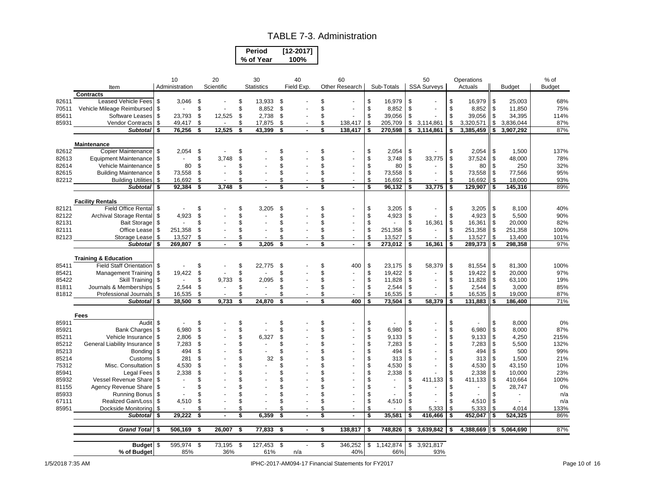#### TABLE 7-3. Administration

| Period    | [12-2017]   |
|-----------|-------------|
| % of Year | <b>100%</b> |

|       |                                 |     | 10                       |      | 20                       | 30                |      | 40         | 60                       |                      | 50                   |    | Operations     |                                | % of   |
|-------|---------------------------------|-----|--------------------------|------|--------------------------|-------------------|------|------------|--------------------------|----------------------|----------------------|----|----------------|--------------------------------|--------|
|       | Item                            |     | Administration           |      | Scientific               | <b>Statistics</b> |      | Field Exp. | Other Research           | Sub-Totals           | <b>SSA Survevs</b>   |    | Actuals        | <b>Budget</b>                  | Budget |
|       | <b>Contracts</b>                |     |                          |      |                          |                   |      |            |                          |                      |                      |    |                |                                |        |
| 82611 | Leased Vehicle Fees             | \$  | 3,046                    | - \$ |                          | \$<br>13,933 \$   |      |            | \$                       | \$<br>16,979         | \$                   | \$ | 16,979         | \$<br>25,003                   | 68%    |
| 70511 | Vehicle Mileage Reimbursed      | \$  | $\sim$                   | \$   |                          | \$<br>8,852       | \$   |            | \$                       | \$<br>8,852          | \$                   | \$ | 8,852          | \$<br>11,850                   | 75%    |
| 85611 | Software Leases                 | \$  | 23,793                   | \$   | 12,525                   | \$<br>2,738       | \$   |            | \$<br>$\sim$             | \$<br>39,056         | \$                   | \$ | 39,056         | \$<br>34,395                   | 114%   |
| 85931 | Vendor Contracts                | \$  | 49,417                   | \$   | $\overline{\phantom{a}}$ | \$<br>17,875      | \$   |            | \$<br>138,417            | \$<br>205,709        | \$<br>3,114,861      | \$ | 3,320,571      | \$<br>3,836,044                | 87%    |
|       | <b>Subtotal</b>                 | \$  | 76,256                   | \$   | 12,525                   | \$<br>43,399      | \$   |            | \$<br>138,417            | \$<br>270,598        | \$<br>3,114,861      | \$ | 3,385,459      | \$<br>3,907,292                | 87%    |
|       |                                 |     |                          |      |                          |                   |      |            |                          |                      |                      |    |                |                                |        |
|       | Maintenance                     |     |                          |      |                          |                   |      |            |                          |                      |                      |    |                |                                |        |
| 82612 | Copier Maintenance \$           |     | 2,054                    | \$   |                          | \$                |      |            |                          | \$<br>2,054          | \$                   | \$ | 2,054          | \$<br>1,500                    | 137%   |
| 82613 | <b>Equipment Maintenance</b>    | \$  | $\sim$                   | \$   | 3,748                    | \$                |      |            |                          | \$<br>3,748          | \$<br>33,775         | \$ | 37,524         | \$<br>48,000                   | 78%    |
| 82614 | Vehicle Maintenance             | \$  | 80                       | \$   |                          | \$                |      |            |                          | \$<br>80             | \$                   | \$ | 80             | \$<br>250                      | 32%    |
| 82615 | <b>Building Maintenance</b>     | \$  | 73,558                   | \$   |                          | \$                |      |            | \$                       | \$<br>73,558         | \$                   | \$ | 73,558         | \$<br>77,566                   | 95%    |
| 82212 | <b>Building Utilities</b>       | \$  | 16,692                   | \$   |                          | \$                |      |            |                          | \$<br>16,692         | \$                   | \$ | 16,692         | \$<br>18,000                   | 93%    |
|       | <b>Subtotal</b>                 | Ŝ.  | 92,384                   | \$   | 3,748                    | \$                | \$   |            | \$<br>$\blacksquare$     | \$<br>96,132         | \$<br>33,775         | \$ | 129,907        | \$<br>145,316                  | 89%    |
|       | <b>Facility Rentals</b>         |     |                          |      |                          |                   |      |            |                          |                      |                      |    |                |                                |        |
| 82121 | <b>Field Office Rental</b>      | \$  |                          | \$   |                          | \$<br>3,205       | \$   |            | \$                       | \$<br>3,205          | \$                   | \$ | 3,205          | \$<br>8,100                    | 40%    |
| 82122 | Archival Storage Rental         | \$  | 4,923                    | \$   |                          | \$                |      |            |                          | \$<br>4,923          | \$                   | \$ | 4,923          | \$<br>5,500                    | 90%    |
| 82131 | <b>Bait Storage</b>             | \$  |                          | \$   |                          | \$                |      |            |                          | \$<br>$\blacksquare$ | \$<br>16,361         | \$ | 16,361         | \$<br>20,000                   | 82%    |
| 82111 | Office Lease                    | \$  | 251,358                  | \$   |                          | \$                |      |            | $\overline{\phantom{a}}$ | \$<br>251,358        | \$<br>$\blacksquare$ | \$ | 251,358        | \$<br>251,358                  | 100%   |
| 82123 | Storage Lease                   | \$  | 13,527                   | \$   |                          | \$                | \$   |            | \$<br>$\blacksquare$     | \$<br>13,527         | \$                   | \$ | 13,527         | \$<br>13,400                   | 101%   |
|       | <b>Subtotal</b>                 | \$  | 269,807                  | \$   |                          | \$<br>3,205       |      |            | \$<br>$\blacksquare$     | \$<br>273,012        | \$<br>16,361         | \$ | 289,373        | \$<br>298,358                  | 97%    |
|       |                                 |     |                          |      |                          |                   |      |            |                          |                      |                      |    |                |                                |        |
|       | <b>Training &amp; Education</b> |     |                          |      |                          |                   |      |            |                          |                      |                      |    |                |                                |        |
| 85411 | <b>Field Staff Orientation</b>  | \$  | $\overline{\phantom{a}}$ | \$   |                          | \$<br>22,775      | - \$ |            | \$<br>400                | \$<br>23,175         | \$<br>58,379         | \$ | 81,554         | \$<br>81,300                   | 100%   |
| 85421 | <b>Management Training</b>      | \$  | 19,422                   | \$   |                          | \$                |      |            | \$                       | \$<br>19,422         | \$                   | \$ | 19,422         | \$<br>20,000                   | 97%    |
| 85422 | Skill Training                  | \$  | $\sim$                   | \$   | 9,733                    | \$<br>2,095       | \$   |            | \$                       | \$<br>11,828         | \$                   | \$ | 11,828         | \$<br>63,100                   | 19%    |
| 81811 | Journals & Memberships          | \$  | 2,544                    | \$   |                          | \$<br>$\sim$      | \$   |            | \$                       | \$<br>2,544          | \$                   | \$ | 2,544          | \$<br>3,000                    | 85%    |
| 81812 | Professional Journals           | \$  | 16,535                   | \$   |                          | \$                | \$   |            |                          | \$<br>16,535         | \$                   | \$ | 16,535         | \$<br>19,000                   | 87%    |
|       | <b>Subtotal</b>                 | \$  | 38.500                   | \$   | 9.733                    | \$<br>24.870      | \$   |            | \$<br>400                | \$<br>73.504         | \$<br>58,379         | \$ | 131.883        | \$<br>186,400                  | 71%    |
|       | Fees                            |     |                          |      |                          |                   |      |            |                          |                      |                      |    |                |                                |        |
| 85911 | Audit                           | \$  |                          | \$   |                          | \$                | \$   |            | \$                       | \$                   | \$                   |    |                | \$<br>8,000                    | 0%     |
| 85921 | <b>Bank Charges</b>             | \$  | 6,980                    | \$   |                          | \$                |      |            | \$                       | \$<br>6,980          | \$                   |    | 6,980          | \$<br>8,000                    | 87%    |
| 85211 | Vehicle Insurance               | \$  | 2,806                    | \$   |                          | \$<br>6,327       |      |            |                          | \$<br>9,133          | \$                   |    | 9,133          | \$<br>4,250                    | 215%   |
| 85212 | General Liability Insurance     | \$  | 7,283                    | \$   |                          | \$                |      |            | \$                       | \$<br>7,283          | \$                   | \$ | 7,283          | \$<br>5,500                    | 132%   |
| 85213 | Bonding                         | \$  | 494                      | \$   |                          | \$                |      |            |                          | \$<br>494            | \$                   |    | 494            | \$<br>500                      | 99%    |
| 85214 | Customs                         | \$  | 281                      | \$   |                          | \$<br>32          | \$   |            |                          | \$<br>313            | \$                   | \$ | 313            | \$<br>1,500                    | 21%    |
| 75312 | Misc. Consultation              | \$  | 4,530                    | \$   |                          | \$                |      |            |                          | \$<br>4,530          | \$                   | \$ | 4,530          | \$<br>43,150                   | 10%    |
| 85941 | Legal Fees                      | \$  | 2.338                    | \$   |                          | \$                |      |            |                          | \$<br>2,338          | \$                   | \$ | 2,338          | \$<br>10,000                   | 23%    |
| 85932 | Vessel Revenue Share            | \$  | $\overline{\phantom{a}}$ | \$   |                          | \$                |      |            |                          | \$<br>$\sim$         | \$<br>411,133        | \$ | 411,133        | \$<br>410,664                  | 100%   |
| 81155 | Agency Revenue Share            | \$  | $\overline{\phantom{a}}$ | \$   |                          | \$                |      |            |                          | \$<br>$\blacksquare$ | \$                   | S. | $\blacksquare$ | \$<br>28,747                   | 0%     |
| 85933 | <b>Running Bonus</b>            | \$  |                          | \$   |                          | \$                |      |            |                          | \$<br>$\sim$         | \$                   | \$ | $\blacksquare$ | \$<br>$\overline{\phantom{a}}$ | n/a    |
| 67111 | <b>Realized Gain/Loss</b>       | \$  | 4,510                    | \$   |                          | \$                |      |            |                          | \$<br>4,510          | \$                   | \$ | 4,510          | \$                             | n/a    |
| 85951 | Dockside Monitoring             | \$  |                          | \$   |                          | \$                |      |            | \$                       | \$                   | \$<br>5,333          | \$ | 5,333          | \$<br>4,014                    | 133%   |
|       | <b>Subtotal</b>                 | \$  | 29,222                   | \$   |                          | \$<br>6,359       | \$   |            | \$<br>ä,                 | \$<br>35,581         | \$<br>416,466        | \$ | 452,047        | \$<br>524,325                  | 86%    |
|       |                                 |     |                          |      |                          |                   |      |            |                          |                      |                      |    |                |                                |        |
|       | <b>Grand Total</b>              | -\$ | 506,169                  | \$   | 26,007                   | \$<br>77,833      | \$   |            | \$<br>138,817            | \$<br>748,826        | \$<br>3,639,842      | \$ | 4,388,669      | \$<br>5,064,690                | 87%    |
|       |                                 |     | 595.974                  | \$   | 73.195                   | \$                | - \$ |            | \$<br>346.252            | \$                   | \$                   |    |                |                                |        |
|       | <b>Budget</b><br>% of Budget    | \$  | 85%                      |      | 36%                      | 127,453<br>61%    |      | n/a        | 40%                      | 1,142,874<br>66%     | 3,921,817<br>93%     |    |                |                                |        |
|       |                                 |     |                          |      |                          |                   |      |            |                          |                      |                      |    |                |                                |        |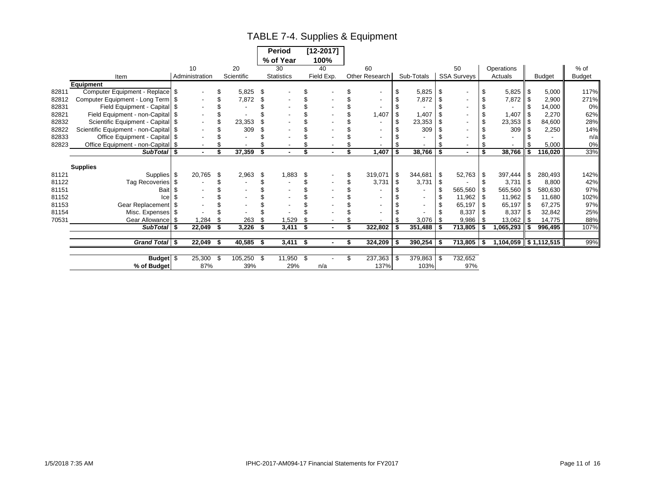# TABLE 7-4. Supplies & Equipment

|       |                                    |                |                | <b>Period</b>        |             | $[12 - 2017]$  |                |      |            |      |                    |               |     |               |               |
|-------|------------------------------------|----------------|----------------|----------------------|-------------|----------------|----------------|------|------------|------|--------------------|---------------|-----|---------------|---------------|
|       |                                    |                |                | % of Year            |             | 100%           |                |      |            |      |                    |               |     |               |               |
|       |                                    | 10             | 20             | 30                   |             | 40             | 60             |      |            |      | 50                 | Operations    |     |               | % of          |
|       | Item                               | Administration | Scientific     | <b>Statistics</b>    |             | Field Exp.     | Other Research |      | Sub-Totals |      | <b>SSA Surveys</b> | Actuals       |     | <b>Budget</b> | <b>Budget</b> |
|       | <b>Equipment</b>                   |                |                |                      |             |                |                |      |            |      |                    |               |     |               |               |
| 82811 | Computer Equipment - Replace       | - \$           | 5,825          | \$                   |             |                |                |      | 5,825      | - \$ |                    | \$<br>5,825   | -\$ | 5,000         | 117%          |
| 82812 | Computer Equipment - Long Term     | - \$           | 7,872          | \$                   |             |                |                |      | 7,872      | S    |                    | 7,872         | \$  | 2,900         | 271%          |
| 82831 | Field Equipment - Capital          |                |                |                      |             |                |                |      |            |      |                    |               |     | 14,000        | 0%            |
| 82821 | Field Equipment - non-Capital      | - \$           |                |                      |             |                | 1,407          |      | 1,407      |      |                    | 1,407         |     | 2,270         | 62%           |
| 82832 | Scientific Equipment - Capital     | - \$           | 23,353         |                      |             |                |                | - \$ | 23,353     |      |                    | \$<br>23,353  | \$  | 84,600        | 28%           |
| 82822 | Scientific Equipment - non-Capital | - \$           | 309            |                      |             |                |                |      | 309        |      |                    | 309           |     | 2,250         | 14%           |
| 82833 | Office Equipment - Capital         |                |                |                      |             |                |                |      |            |      |                    |               |     |               | n/a           |
| 82823 | Office Equipment - non-Capital \$  |                |                |                      |             |                |                |      |            |      |                    |               |     | 5,000         | 0%            |
|       | SubTotal \$                        | $\blacksquare$ | 37,359<br>\$   | \$<br>$\blacksquare$ |             | $\blacksquare$ | \$<br>1,407    | Ŝ.   | 38,766     | \$   |                    | \$<br>38,766  | \$  | 116,020       | 33%           |
|       |                                    |                |                |                      |             |                |                |      |            |      |                    |               |     |               |               |
|       | <b>Supplies</b>                    |                |                |                      |             |                |                |      |            |      |                    |               |     |               |               |
| 81121 | Supplies                           | 20,765<br>-\$  | 2,963<br>\$    | \$                   | 1,883<br>\$ |                | 319,071        | \$   | 344,681    | -\$  | 52,763             | \$<br>397,444 | \$  | 280,493       | 142%          |
| 81122 | Tag Recoveries                     | -\$            |                |                      |             |                | 3,731          | \$   | 3,731      |      |                    | 3,731         | \$  | 8,800         | 42%           |
| 81151 | Bait                               |                |                |                      |             |                |                |      |            |      | 565,560            | 565,560       | \$  | 580,630       | 97%           |
| 81152 | Ice                                |                |                |                      |             |                |                |      |            |      | 11,962             | 11,962        |     | 11,680        | 102%          |
| 81153 | Gear Replacement \$                |                |                |                      |             |                |                |      |            |      | 65,197             | 65,197        | \$  | 67,275        | 97%           |
| 81154 | Misc. Expenses                     | - \$           |                |                      |             |                |                |      |            |      | 8,337              | 8,337         |     | 32,842        | 25%           |
| 70531 | Gear Allowance                     | 1,284<br>- \$  | 263            |                      | 1,529       |                |                |      | 3,076      | - \$ | 9,986              | 13,062        | \$  | 14,775        | 88%           |
|       | <b>SubTotal</b>                    | 22,049<br>- \$ | 3,226<br>\$    | \$                   | 3,411<br>\$ | $\blacksquare$ | 322,802        | \$   | 351,488    | S    | 713,805            | ,065,293      | \$  | 996,495       | 107%          |
|       |                                    |                |                |                      |             |                |                |      |            |      |                    |               |     |               |               |
|       | Grand Total \$                     | 22,049         | 40,585<br>- \$ | -\$                  | $3,411$ \$  |                | 324,209        | \$   | 390,254    | \$   | $713,805$ \$       | 1,104,059     |     | \$1,112,515   | 99%           |
|       |                                    |                |                |                      |             |                |                |      |            |      |                    |               |     |               |               |
|       | Budget \$                          | 25,300         | 105,250<br>-\$ | -\$                  | 11,950 \$   |                | 237,363        | \$   | 379,863    | \$   | 732,652            |               |     |               |               |
|       | % of Budget                        | 87%            | 39%            |                      | 29%         | n/a            | 137%           |      | 103%       |      | 97%                |               |     |               |               |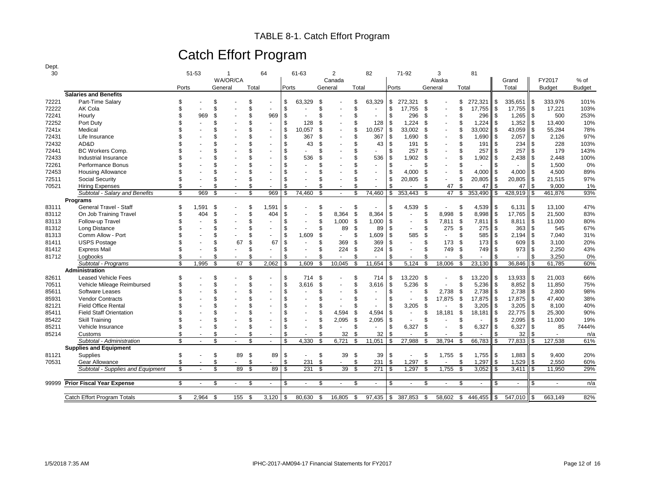### TABLE 8-1. Catch Effort Program

# Catch Effort Program

| I |
|---|
|---|

| 30    |                                   |       | 51-53                    | 1                  |       | 64                       |                | 61-63          |         | $\overline{2}$           |                | 82             |               | 71-92   | 3                              |      | 81      |                             |               |               |               |
|-------|-----------------------------------|-------|--------------------------|--------------------|-------|--------------------------|----------------|----------------|---------|--------------------------|----------------|----------------|---------------|---------|--------------------------------|------|---------|-----------------------------|---------------|---------------|---------------|
|       |                                   |       |                          | WA/OR/CA           |       |                          |                |                |         | Canada                   |                |                |               |         | Alaska                         |      |         | Grand                       |               | FY2017        | $%$ of        |
|       |                                   | Ports |                          | General            | Total |                          | Ports          |                | General |                          | Total          |                | Ports         |         | General                        |      | Total   | Total                       |               | <b>Budget</b> | <b>Budget</b> |
|       | <b>Salaries and Benefits</b>      |       |                          |                    |       |                          |                |                |         |                          |                |                |               |         |                                |      |         |                             |               |               |               |
| 72221 | Part-Time Salary                  | \$    |                          | \$                 | \$    |                          | \$             | 63,329         | \$      |                          | <sup>\$</sup>  | 63,329         | \$            | 272,321 | \$                             | \$   | 272,321 | \$<br>$335,651$ \$          |               | 333,976       | 101%          |
| 72222 | AK Cola                           | \$    |                          |                    | \$    |                          | \$             | ä,             | \$      |                          | \$             | ÷.             | \$            | 17,755  | - \$                           |      | 17,755  | \$<br>17,755                | $\mathfrak s$ | 17,221        | 103%          |
| 72241 | Hourly                            |       | 969                      | £.                 | \$    | 969                      | \$             |                | \$      | ٠                        | $\mathfrak{L}$ | $\sim$         | \$            | 296     | - \$                           |      | 296     | \$<br>1,265                 | $\sqrt{3}$    | 500           | 253%          |
| 72252 | Port Duty                         |       |                          |                    | \$    | $\ddot{\phantom{1}}$     | \$             | 128            | \$      |                          | \$             | 128            | \$            | 1,224   | -\$                            |      | 1,224   | \$<br>1,352                 | $\sqrt{3}$    | 13,400        | 10%           |
| 7241x | Medical                           |       |                          |                    | \$    | $\overline{a}$           | \$             | 10.057         | \$      | $\overline{a}$           | \$             | 10.057         | \$            | 33.002  | -\$                            |      | 33.002  | \$<br>43,059                | \$            | 55,284        | 78%           |
| 72431 | Life Insurance                    |       |                          |                    | \$    | $\overline{a}$           | \$             | 367            | \$      |                          | \$             | 367            | \$            | 1,690   | -\$                            |      | 1,690   | \$<br>2,057                 | \$            | 2,126         | 97%           |
| 72432 | AD&D                              |       |                          |                    | \$    |                          | \$             | 43             | \$      |                          | \$             | 43             | \$            | 191     | \$                             |      | 191     | \$<br>234                   | \$            | 228           | 103%          |
| 72441 | <b>BC Workers Comp.</b>           |       |                          |                    | \$    |                          | \$             |                | \$      |                          | \$             |                | \$.           | 257     | \$                             |      | 257     | \$<br>257                   | \$            | 179           | 143%          |
| 72433 | Industrial Insurance              |       |                          |                    | \$    |                          | $\mathfrak{s}$ | 536            | ۹       |                          | \$             | 536            | \$            | 1,902   | \$                             |      | 1,902   | \$<br>2,438                 | \$            | 2.448         | 100%          |
| 72261 | Performance Bonus                 |       |                          |                    | \$    |                          | $\mathfrak{s}$ |                | \$      |                          |                |                | \$.           |         | ٩                              |      |         | \$                          | \$            | 1,500         | 0%            |
| 72453 | <b>Housing Allowance</b>          |       |                          |                    | \$    |                          | $\mathfrak{s}$ |                |         |                          | \$             |                | <sup>\$</sup> | 4,000   | \$                             | £.   | 4,000   | \$<br>4,000                 | \$            | 4,500         | 89%           |
| 72511 | <b>Social Security</b>            |       |                          |                    | \$    | $\overline{\phantom{a}}$ | $\mathfrak{s}$ |                |         |                          | \$             |                | \$            | 20,805  | -\$                            | \$   | 20,805  | \$<br>20,805                | \$            | 21,515        | 97%           |
| 70521 | <b>Hiring Expenses</b>            | \$    |                          | \$                 | \$    | $\overline{\phantom{a}}$ | \$             |                | \$      | $\overline{\phantom{a}}$ | \$             |                | \$            |         | £.<br>47                       | \$   | 47      | \$<br>47                    | \$            | 9,000         | 1%            |
|       | Subtotal - Salary and Benefits    | \$    | 969                      | \$                 | \$    | 969                      | \$             | 74.460         | \$      | $\sim$                   | \$             | 74.460         | \$            | 353,443 | 47<br>\$                       | \$   | 353.490 | \$<br>428,919               | \$            | 461.876       | 93%           |
|       | Programs                          |       |                          |                    |       |                          |                |                |         |                          |                |                |               |         |                                |      |         |                             |               |               |               |
| 83111 | General Travel - Staff            | \$    | 1.591                    | £.                 | \$    | 1,591                    | \$             |                | \$      | $\sim$                   | \$             |                | \$            | 4.539   | -\$                            | \$   | 4,539   | \$<br>$6,131$ $\frac{1}{5}$ |               | 13.100        | 47%           |
| 83112 | On Job Training Travel            | \$    | 404                      | \$                 | \$    | 404                      | \$             |                | \$      | 8,364                    | \$             | 8,364          | \$            | $\sim$  | \$<br>8,998                    | - \$ | 8,998   | \$<br>17,765                | $\sqrt{3}$    | 21,500        | 83%           |
| 83113 | Follow-up Travel                  |       |                          |                    | \$    |                          | $\mathfrak{s}$ |                | \$      | 1,000                    | \$             | 1,000          | \$            | $\sim$  | \$<br>7,811                    | -\$  | 7,811   | \$<br>8,811                 | $\sqrt{3}$    | 11,000        | 80%           |
| 81312 | Long Distance                     |       |                          |                    | \$    | $\overline{\phantom{a}}$ | \$             |                | \$      | 89                       | \$             | 89             | \$            | $\sim$  | \$<br>275                      | \$   | 275     | \$<br>363                   | \$            | 545           | 67%           |
| 81313 | Comm Allow - Port                 |       |                          |                    | \$    |                          | \$             | 1,609          | \$      | $\sim$                   | \$             | 1,609          | \$            | 585     | \$<br>$\sim$                   | \$   | 585     | \$<br>2,194                 | $\mathbf{s}$  | 7,040         | 31%           |
| 81411 | <b>USPS Postage</b>               |       |                          | 67                 | \$    | 67                       | \$             |                | \$      | 369                      | <sup>\$</sup>  | 369            | \$            |         | \$<br>173                      | \$   | 173     | \$<br>609                   | \$            | 3,100         | 20%           |
| 81412 | <b>Express Mail</b>               |       |                          |                    | \$    |                          | \$             | $\blacksquare$ | \$      | 224                      | \$             | 224            | \$            |         | \$<br>749                      | \$   | 749     | \$<br>973                   | \$            | 2,250         | 43%           |
| 81712 | Loabooks                          | \$    |                          | \$                 | \$    |                          | \$             | $\overline{a}$ | \$      | $\overline{a}$           | \$             | ÷              |               |         | \$                             | \$   |         | \$                          | \$            | 3,250         | 0%            |
|       | Subtotal - Programs               | \$    | 1,995                    | \$<br>67           | -S    | 2,062                    | \$             | 1.609          | \$      | 10,045                   | \$             | 11.654         |               | 5,124   | 18,006<br>-\$                  | -S   | 23,130  | \$<br>36,846                | \$            | 61.785        | 60%           |
|       | Administration                    |       |                          |                    |       |                          |                |                |         |                          |                |                |               |         |                                |      |         |                             |               |               |               |
| 82611 | <b>Leased Vehicle Fees</b>        | \$    |                          | \$                 | \$    |                          | \$             | 714            | \$      |                          | \$             | 714            | \$            | 13,220  | -\$                            |      | 13,220  | \$<br>13,933                | \$            | 21,003        | 66%           |
| 70511 | Vehicle Mileage Reimbursed        |       |                          |                    | \$    |                          | \$             | 3,616          | \$      |                          | \$             | 3,616          | \$            | 5,236   | \$                             | \$   | 5,236   | \$<br>8,852                 | $\sqrt{3}$    | 11,850        | 75%           |
| 85611 | Software Leases                   |       |                          |                    | \$    |                          | \$             |                | \$      |                          | \$             |                | \$            |         | \$<br>2,738                    | \$   | 2,738   | \$<br>2,738                 | \$            | 2,800         | 98%           |
| 85931 | <b>Vendor Contracts</b>           |       |                          |                    | \$    |                          | $\mathfrak{s}$ |                | \$      |                          | \$             | $\sim$         | \$.           |         | 17,875<br>\$                   | -\$  | 17,875  | \$<br>17,875                | \$            | 47,400        | 38%           |
| 82121 | <b>Field Office Rental</b>        |       |                          |                    | \$    |                          | \$             |                | \$      | $\overline{\phantom{a}}$ | £.             |                | \$.           | 3,205   | \$                             | £.   | 3,205   | \$<br>3,205                 | $\sqrt{3}$    | 8,100         | 40%           |
| 85411 | <b>Field Staff Orientation</b>    |       |                          |                    | \$    |                          | \$             |                | \$      | 4,594                    | <sup>\$</sup>  | 4,594          | \$            | $\sim$  | 18,181<br>\$                   | S.   | 18,181  | \$<br>22,775                | \$            | 25,300        | 90%           |
| 85422 | Skill Training                    |       |                          |                    | \$    |                          | \$             |                | \$      | 2,095                    | \$             | 2,095          | \$            |         | \$                             |      |         | \$<br>2,095                 | \$            | 11,000        | 19%           |
| 85211 | Vehicle Insurance                 |       |                          |                    | \$    | $\sim$                   | \$             | $\overline{a}$ | \$      | $\sim$                   | \$             | $\overline{a}$ | \$            | 6,327   | \$<br>$\overline{\phantom{a}}$ | £.   | 6,327   | \$<br>6,327                 | \$            | 85            | 7444%         |
| 85214 | Customs                           | \$    |                          | \$                 | \$    | $\overline{a}$           | \$             | $\overline{a}$ | \$      | 32                       | \$             | 32             | \$            | $\sim$  | \$                             | £.   |         | \$<br>32                    | \$            | $\sim$        | n/a           |
|       | Subtotal - Administration         | \$    |                          | \$                 | \$    | $\sim$                   | $\mathfrak{s}$ | 4,330          | \$      | 6,721                    | \$             | 11,051         | \$            | 27,988  | 38,794<br>\$                   | \$   | 66,783  | \$<br>77,833                | \$            | 127,538       | 61%           |
|       | <b>Supplies and Equipment</b>     |       |                          |                    |       |                          |                |                |         |                          |                |                |               |         |                                |      |         |                             |               |               |               |
| 81121 | Supplies                          | \$    | $\blacksquare$           | \$<br>89           | \$    | 89                       | \$             | $\blacksquare$ | \$      | 39                       | \$             | 39             | \$            |         | \$<br>1,755                    | - \$ | 1,755   | \$<br>$1,883$ \$            |               | 9,400         | 20%           |
| 70531 | Gear Allowance                    | \$    | $\overline{\phantom{a}}$ | \$<br>$\mathbf{r}$ | \$    |                          | \$             | 231            | \$      | $\sim$                   | \$             | 231            | \$            | 1,297   | \$                             | \$   | 1,297   | \$<br>1,529                 | \$            | 2,550         | 60%           |
|       | Subtotal - Supplies and Equipment | \$    |                          | \$<br>89           | \$    | 89                       | \$             | 231            | \$      | 39                       | \$             | 271            | <sup>\$</sup> | 1,297   | 1,755<br>\$                    | \$   | 3,052   | \$<br>3,411                 | \$            | 11,950        | 29%           |
|       |                                   |       |                          |                    |       |                          |                |                |         |                          |                |                |               |         |                                |      |         |                             |               |               |               |
| 99999 | <b>Prior Fiscal Year Expense</b>  | \$    | $\sim$                   | \$<br>$\sim$       | \$    | $\sim$                   | S.             | $\sim$         | \$      | $\sim$                   | \$             | $\sim$         | \$            | $\sim$  | \$<br>$\sim$                   | \$.  | $\sim$  | \$<br>$\sim$                | \$            | $\omega$      | n/a           |
|       |                                   |       |                          |                    |       |                          |                |                |         |                          |                |                |               |         |                                |      |         |                             |               |               |               |
|       | Catch Effort Program Totals       | \$    | 2,964                    | \$<br>155          | - \$  | 3,120                    | \$             | 80,630         | -\$     | 16,805                   | \$             | 97,435 \$      |               | 387,853 | 58,602<br>- \$                 | - \$ | 446,455 | \$<br>547,010               |               | 663,149       | 82%           |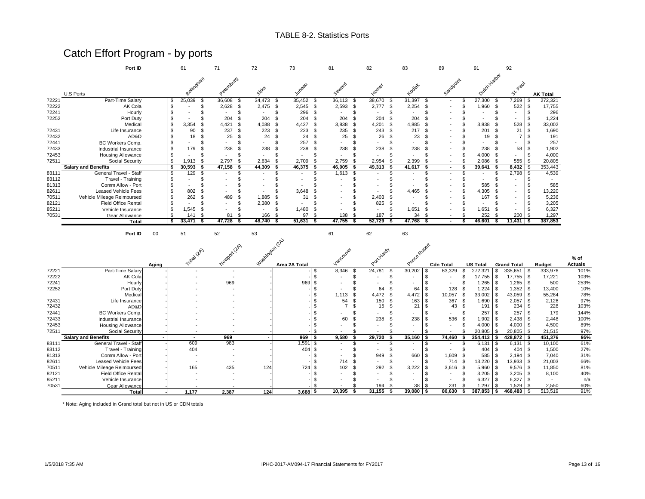# Catch Effort Program - by ports

|       | Port ID                    |     | 61         | 71            | 72                     | 73                                                       |            |    | 81     |      | 82     |      | 83     |      | 89                       | 91            | 92                       |           |                 |
|-------|----------------------------|-----|------------|---------------|------------------------|----------------------------------------------------------|------------|----|--------|------|--------|------|--------|------|--------------------------|---------------|--------------------------|-----------|-----------------|
|       | U.S Ports                  |     | Bellingtam | Petersburg    | Sitta                  |                                                          | Juneau     |    | Seward |      | Homer  |      | Kodiat |      | Sandpoint                | Outch Harbor  | Paul<br>べ                |           | <b>AK Total</b> |
| 72221 | Part-Time Salary           | \$. | 25,039     | 36,608        | 34,473<br>-S           | -S                                                       | 35,452     | £. | 36,113 | -96  | 38,670 |      | 31,397 | £.   | $\overline{\phantom{a}}$ | 27,300        | 7,269                    | \$        | 272,321         |
| 72222 | AK Cola                    |     |            | 2,628         | 2,475<br>.S            | - \$                                                     | $2,545$ \$ |    | 2,593  |      | 2,777  | - \$ | 2,254  |      |                          | 1,960<br>- \$ | 522                      |           | 17,755          |
| 72241 | Hourly                     |     |            |               |                        |                                                          | 296        |    |        |      |        |      |        |      |                          |               |                          |           | 296             |
| 72252 | Port Duty                  |     |            | 204           | 204                    |                                                          | 204        |    | 204    |      | 204    |      | 204    |      |                          |               |                          |           | 1,224           |
|       | Medical                    |     | 3,354      | 4,421         | 4,038<br>$\mathcal{F}$ | \$                                                       | 4,427      |    | 3,838  | - \$ | 4,201  |      | 4,885  |      |                          | 3,838         | 528                      |           | 33,002          |
| 72431 | Life Insurance             |     | 90         | 237           | 223                    | \$                                                       | 223        |    | 235    |      | 243    | - \$ | 217    | - \$ |                          | 201           | 21                       |           | 1,690           |
| 72432 | AD&D                       |     | 18         | 25            | 24                     |                                                          | 24         |    | 25     |      | 26     |      | 23     |      |                          | 19            |                          |           | 191             |
| 72441 | BC Workers Comp.           |     |            |               |                        |                                                          | 257        |    |        |      |        |      |        |      |                          |               |                          |           | 257             |
| 72433 | Industrial Insurance       |     | 179        | 238           | 238                    |                                                          | 238        |    | 238    |      | 238    |      | 238    |      |                          | 238           | 58                       |           | 1,902           |
| 72453 | <b>Housing Allowance</b>   |     |            |               |                        |                                                          |            |    |        |      |        |      |        |      |                          | 4,000         |                          |           | 4,000           |
| 72511 | Social Security            | \$. | 1,913      | 2,797<br>- \$ | 2,634<br>£.            | -S                                                       | 2,709      |    | 2,759  |      | 2,954  |      | 2,399  |      |                          | 2.086         | 555                      | l S       | 20,805          |
|       | <b>Salary and Benefits</b> |     | 30,593     | 47,158        | 44,309                 |                                                          | 46,375     |    | 46,005 | - \$ | 49,313 |      | 41,617 | - 5  | ۰.                       | 39,641        | $8,432$ \$               |           | 353,443         |
| 83111 | General Travel - Staff     |     | 129        |               |                        |                                                          |            |    | 1,613  | - \$ |        |      |        |      | $\overline{\phantom{a}}$ |               | $2,798$ \$               |           | 4,539           |
| 83112 | Travel - Training          |     |            |               |                        |                                                          |            |    |        |      |        |      |        |      |                          |               |                          |           |                 |
| 81313 | Comm Allow - Port          |     |            |               |                        |                                                          |            |    |        |      |        |      |        |      |                          | 585           |                          |           | 585             |
| 82611 | Leased Vehicle Fees        |     | 802        |               |                        |                                                          | 3,648      |    |        |      |        |      | 4,465  |      |                          | 4,305         | $\overline{\phantom{a}}$ | \$        | 13,220          |
| 70511 | Vehicle Mileage Reimbursed |     | 262        | 489           | 1,885                  |                                                          | 31         |    |        |      | 2,403  |      |        |      |                          | 167           |                          |           | 5,236           |
| 82121 | <b>Field Office Rental</b> |     |            |               | 2,380                  | -S                                                       |            |    |        |      | 825    |      |        |      |                          |               |                          |           | 3,205           |
| 85211 | Vehicle Insurance          |     | .545       | - \$          |                        |                                                          | 1,480      |    |        |      |        |      | 1,651  |      |                          | 1,651<br>- 96 |                          |           | 6,327           |
| 70531 | Gear Allowance             |     | 141        | 81<br>- \$    | 166                    |                                                          | 97         |    | 138    |      | 187    |      | 34     |      |                          | 252           |                          | $200 - $$ | 1,297           |
|       | Total                      | Ŝ.  | 33,471     | 47,728        | 48.740                 |                                                          | 51,631     |    | 47,755 |      | 52.729 |      | 47.768 |      | $\overline{\phantom{a}}$ | 46,601        | $11,431$   \$            |           | 387,853         |
|       | Port ID                    | 00  | 51         | 52            | 53                     |                                                          |            |    | 61     |      | 62     |      | 63     |      |                          |               |                          |           |                 |
|       |                            |     |            | 12A)<br>へ     |                        | $\mathbb{Q}^{\mathbb{P}}$<br>$\mathcal{L}_{\mathcal{C}}$ |            |    |        |      | 7γ     |      |        |      |                          |               |                          |           |                 |

|       |                            |       | Triba (2A) |       | Ivashirdon (2A)          |               | Vancouver                      |    | at Yardy                 |                          |                          |                    |                    |               | % of    |
|-------|----------------------------|-------|------------|-------|--------------------------|---------------|--------------------------------|----|--------------------------|--------------------------|--------------------------|--------------------|--------------------|---------------|---------|
|       |                            | Aging |            |       |                          | Area 2A Total |                                |    |                          |                          | <b>Cdn Total</b>         | <b>US Total</b>    | <b>Grand Total</b> | <b>Budget</b> | Actuals |
| 72221 | Part-Time Salary           |       |            |       |                          |               | 8,346                          |    | 24,781                   | 30,202                   | 63,329                   | 272,321            | 335,651            | 333,976       | 101%    |
| 72222 | AK Cola                    |       |            |       |                          |               | $\overline{\phantom{a}}$       |    |                          |                          | $\overline{\phantom{a}}$ | $17,755$ \ \$      | 17,755             | 17,221        | 103%    |
| 72241 | Hourly                     |       |            | 969   |                          | 969           | $\overline{\phantom{a}}$       |    | $\overline{\phantom{a}}$ | $\sim$                   | $\overline{\phantom{a}}$ | $1,265$ \$         | $1,265$ \$         | 500           | 253%    |
| 72252 | Port Duty                  |       |            |       |                          |               | $\overline{\phantom{a}}$       |    | 64                       | 64                       | 128                      | $1,224$ \$         | 1,352              | 13,400        | 10%     |
|       | Medical                    |       |            |       |                          |               | 1.113                          |    | 4,472                    | - \$<br>4,472            | 10,057                   | $33,002$ \$        | 43,059             | 55,284        | 78%     |
| 72431 | Life Insurance             |       |            |       |                          |               | 54                             | Y. | 150                      | 163<br>£                 | 367                      | $1,690$ \$         | 2,057              | 2,126         | 97%     |
| 72432 | AD&D                       |       |            |       |                          |               |                                |    | 15                       | 21<br>-9                 | 43                       | 191                | 234<br>- \$        | 228           | 103%    |
| 72441 | BC Workers Comp.           |       |            |       |                          |               |                                |    |                          |                          |                          | 257                | 257                | 179           | 144%    |
| 72433 | Industrial Insurance       |       |            |       |                          |               | 60                             |    | 238                      | 238                      | 536                      | $1,902$ \$         | $2,438$ \$         | 2,448         | 100%    |
| 72453 | <b>Housing Allowance</b>   |       |            |       |                          |               |                                |    |                          |                          |                          | $4,000$ \ \$       | $4,000$ \ \$       | 4,500         | 89%     |
| 72511 | Social Security            |       |            |       |                          |               |                                |    |                          | $\overline{\phantom{a}}$ |                          | 20,805             | 20,805             | 21,515        | 97%     |
|       | <b>Salary and Benefits</b> |       | ۰.         | 969   | $\overline{\phantom{a}}$ | 969<br>- \$   | 9,580                          |    | 29,720                   | 35,160                   | 74,460                   | 354,413            | 428,872            | 451,376       | 95%     |
| 83111 | General Travel - Staff     |       | 609        | 983   |                          | 1,591         | \$<br>$\overline{\phantom{a}}$ |    | $\overline{\phantom{a}}$ | $\overline{\phantom{a}}$ |                          | 6,131              | 6,131<br>- 95      | 10,100        | 61%     |
| 83112 | Travel - Training          |       | 404        |       |                          | 404           | $\overline{\phantom{a}}$       |    | $\overline{\phantom{a}}$ |                          |                          |                    | 404 \$<br>404      | 1,500         | 27%     |
| 81313 | Comm Allow - Port          |       |            |       |                          |               |                                |    | 949                      | 660                      | 1,609                    | 585                | 2,194              | 7,040         | 31%     |
| 82611 | <b>Leased Vehicle Fees</b> |       |            |       |                          |               | 714                            |    |                          |                          | 714                      | $13,220$ \ \$      | 13,933             | 21,003        | 66%     |
| 70511 | Vehicle Mileage Reimbursed |       | 165        | 435   | 124                      | 724           | 102<br>-S                      |    | 292                      | 3,222<br>ж.              | 3,616                    | $5,960$ \$<br>- \$ | 9,576              | 11,850        | 81%     |
| 82121 | <b>Field Office Rental</b> |       |            |       |                          |               |                                |    |                          |                          | $\sim$                   | $3,205$ \$         | 3,205              | 8,100         | 40%     |
| 85211 | Vehicle Insurance          |       |            |       |                          |               |                                |    |                          |                          |                          | $6,327$ \$         | 6,327              |               | n/a     |
| 70531 | Gear Allowance             |       |            |       |                          |               |                                |    | 194                      | 38                       | 231                      | 1,297              | 1,529              | 2,550         | 60%     |
|       | Total                      |       | 1,177      | 2,387 | 124                      | $3,688$ \$    | 10,395                         |    | 31,155                   | $39,080$ \$              | 80,630                   | 387,853            | 468,483            | 513,519       | 91%     |

\* Note: Aging included in Grand total but not in US or CDN totals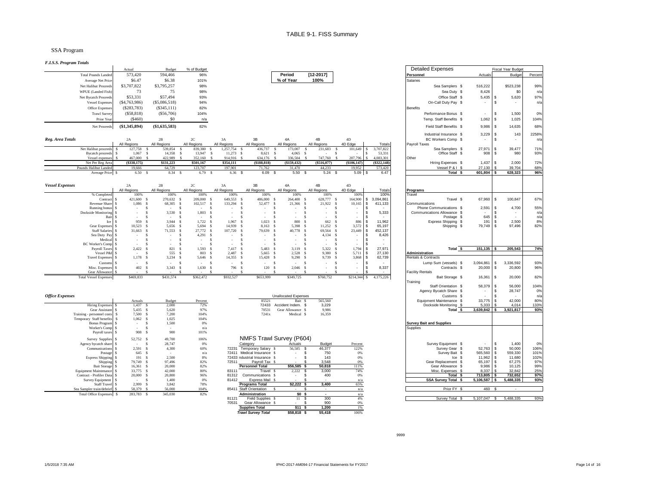#### SSA Program

*F.I.S.S. Program Totals*

| г л.э.э. 1 годнат 1 ошв                          |                                          |                           |                                       |                                    |                                                  |                                |                                         |                                        |                      |                         |                                       |               |                                   |            |
|--------------------------------------------------|------------------------------------------|---------------------------|---------------------------------------|------------------------------------|--------------------------------------------------|--------------------------------|-----------------------------------------|----------------------------------------|----------------------|-------------------------|---------------------------------------|---------------|-----------------------------------|------------|
|                                                  | Actual                                   | Budget                    | % of Budget                           |                                    |                                                  |                                |                                         |                                        |                      |                         | <b>Detailed Expenses</b>              |               | <b>Fiscal Year Budget</b>         |            |
| <b>Total Pounds Landed</b>                       | 573,420                                  | 594,466                   | 96%                                   |                                    |                                                  | Period                         | [12-2017]                               |                                        |                      | Personnel               |                                       | Actuals       | <b>Budget</b>                     | Percent    |
| Average Net Price                                | \$6.47                                   | \$6.38                    | 101%                                  |                                    |                                                  | % of Year                      | 100%                                    |                                        |                      | Salaries                |                                       |               |                                   |            |
| Net Halibut Proceeds                             | \$3,707,822                              | \$3,795,257               | 98%                                   |                                    |                                                  |                                |                                         |                                        |                      |                         | Sea Samplers \$                       | 516,222       | \$523,238                         | 99%        |
| WPUE (Landed Fish)                               | 73                                       | 75                        | 98%                                   |                                    |                                                  |                                |                                         |                                        |                      |                         | Sea Duty \$                           | 8,426         | \$0                               | n/a        |
| Net Bycatch Proceeds                             | \$53,331                                 | \$57,494                  | 93%                                   |                                    |                                                  |                                |                                         |                                        |                      |                         | Office Staff \$                       | 5,435         | 5,620<br>S                        | 97%        |
|                                                  |                                          |                           | 94%                                   |                                    |                                                  |                                |                                         |                                        |                      |                         | On-Call Duty Pay \$                   | $\mathcal{L}$ | <b>s</b><br>$\tilde{\phantom{a}}$ |            |
| <b>Vessel Expenses</b>                           | ( \$4,763,986)                           | $(\$5,086,518)$           |                                       |                                    |                                                  |                                |                                         |                                        |                      |                         |                                       |               |                                   | n/a        |
| Office Expenses                                  | (S283,783)                               | $(\$345,111)$             | 82%                                   |                                    |                                                  |                                |                                         |                                        |                      | <b>Benefits</b>         |                                       |               |                                   |            |
| <b>Trawl Survey</b>                              | (\$58,818)                               | (\$56,706)                | 104%                                  |                                    |                                                  |                                |                                         |                                        |                      |                         | Performance Bonus \$                  | $\sim$        | 1,500<br>- S                      | 0%         |
| Prior Year                                       | (\$460)                                  | \$0                       | n/a                                   |                                    |                                                  |                                |                                         |                                        |                      |                         | Temp. Staff Benefits \$               | $1,062$ \$    | 1,025                             | 104%       |
| Net Proceeds                                     | (\$1,345,894)                            | $(\$1,635,583)$           | 82%                                   |                                    |                                                  |                                |                                         |                                        |                      |                         | Field Staff Benefits \$               | 9,986         | s<br>14,635                       | 68%        |
|                                                  |                                          |                           |                                       |                                    |                                                  |                                |                                         |                                        |                      |                         | Industrial Insurance \$               | 3,229         | <b>S</b><br>143                   | 2258%      |
| Reg. Area Totals                                 | 2A<br>All Regions                        | 2B<br>All Regions         | $2\mathrm{C}$<br>All Regions          | 3A<br>All Regions                  | 3B<br>All Regions                                | 4A<br>All Regions              | 4B<br>All Regions                       | 4D<br>4D Edge                          | Totals               | Payroll Taxes           | BC Workers Comp \$                    | $\sim$        | <b>s</b><br>$\blacksquare$        | n/a        |
| Net Halibut proceeds                             | 127,758                                  | 539,854<br>-S             | 839,380<br>-S                         | 1,257,754<br>s                     | 436,737<br>-S                                    | 173,007<br>-S                  | 231,683<br>-S                           | 101,649<br>S                           | 3,707,822<br>s.      |                         | Sea Samplers \$                       | 27,971        | 39,477<br>l s                     | 71%        |
| <b>Bycatch</b> proceeds                          | 1,067<br>$\mathbf{s}$                    | s<br>14,358               | 13,947<br>s                           | -S<br>$11,273$ \$                  | 8,621 \$                                         | 4,065                          | $\mathbf{s}$                            | s                                      | 53,331               |                         | Office Staff \$                       | 908           | <b>s</b><br>980                   | 93%        |
| Vessel expenses                                  | 467,000                                  | 422.989                   | 352.160                               | 914,916<br>$\hat{\mathbf{x}}$      | 634,176                                          | 336,504<br>$\hat{\mathbf{x}}$  | 747,760 \$<br><b>s</b>                  | 207,796                                | 4,083,301            | Other                   |                                       |               |                                   |            |
| Net Per Reg Area                                 | $(\$338,175)$                            | \$131,223                 | \$501,167                             | \$354,111                          | (\$188,818)                                      | (\$159, 432)                   | (\$516,077)                             | (\$106, 147)                           | $(\$322,148)$        |                         | Hiring Expenses \$                    | 1,437         | 2,000<br>۱s                       | 72%        |
| Pounds Halibut Landed                            | 19,666                                   | 64.729                    | 123,707                               | 197,901                            | 71.762                                           | 31.470                         | 44.233                                  | 19.952                                 | 573.420              |                         | Vessel P & I \$                       | 27.130        | 39.704                            | 68%        |
| Average Price \$                                 | 6.50 S                                   | 8.34 \$                   | 6.79 S                                | $6.36$ \$                          | $6.09$ \$                                        | 5.50S                          | $5.24$ \$                               | $5.09$ \$                              | 6.47                 |                         | Total \$                              | 601,804       | 628,323                           | 96%        |
| <b>Vessel Expenses</b>                           | 2A                                       | $2\mathrm{B}$             | $2\mathrm{C}$                         | $3\mathrm{A}$                      | 3B                                               | 4A                             | 4B                                      | $4\mathrm{D}$                          |                      |                         |                                       |               |                                   |            |
|                                                  | All Regions                              | All Regions               | All Regions                           | All Regions                        | All Regions                                      | All Regions                    | All Regions                             | 4D Edge                                | Totals               | Programs                |                                       |               |                                   |            |
| % Completed                                      | 100%                                     | 100%                      | 100%                                  | 100%                               | 100%                                             | 100%                           | 100%                                    | 1009                                   | 100%                 | Travel                  |                                       |               |                                   |            |
| Contract                                         | 421,600<br>-S                            | 270,632 \$                | 209,000                               | 649,553<br>\$                      | 486,000<br>s                                     | $\mathbf{s}$<br>264,400        | 628,777<br>-S                           | -S<br>164,900                          | s<br>3,094,861       |                         | Travel \$                             | 67,960        | s<br>100,847                      | 67%        |
| Revenue Share<br>Running bonus                   | 1,086<br><sup>\$</sup>                   | 68,305<br>s               | 102,517<br>-S<br>s<br><sup>\$</sup>   | 133,294<br>-S                      | 52,477<br>-S<br>s                                | Ŝ.<br>21,366<br>-S             | 21,922<br>-S<br><sup>\$</sup>           | -S<br>10,165<br>-S                     | 411,133<br>-S        | Communications          | Phone Communications \$               |               | 4,700<br>S                        | 55%        |
| Dockside Monitoring                              | $\sim$<br>\$<br>$\overline{\phantom{a}}$ | 3,530<br>s                | 1,803<br>-S<br>-S                     | $\sim$<br>$\overline{\phantom{a}}$ | $\sim$<br>s<br>$\sim$                            | -S<br>$\overline{\phantom{a}}$ | $\sim$<br>s<br>$\overline{\phantom{a}}$ | -S<br>- S<br>$\sim$                    | 5,333                |                         | Communications Allowance \$           | 2,591         | -S                                | n/a        |
| Bait                                             | \$.<br>$\sim$                            | S                         | s<br>-S                               | $\sim$                             | -S                                               | -S<br>$\overline{\phantom{a}}$ | -S<br>$\sim$                            | $\sim$<br>- \$<br>$\sim$               |                      |                         | Postage \$                            | 645           | l S                               | n/a        |
| Ice                                              | 959<br>\$.<br>-S                         | 3,944                     | 1,722 S<br>s                          | 1,967                              | 1,023<br>-S                                      | 800<br>-S                      | 662<br>- \$<br>- \$                     | 886<br>$\mathsf{s}$                    | 11,962               |                         | Express Shipping \$                   | 191           | 2,500<br>-S                       | 8%         |
| Gear Expenses                                    | 10,523<br>$\mathbf{s}$<br>\$             | 5,656                     | 5.694<br>$\mathbf{s}$<br>$\mathbf{s}$ | 14.939                             | 8,163<br>-S                                      | 5.398<br>-S                    | 11,252<br>$\mathbf{s}$<br>- \$          | 3,572<br>$\mathsf{s}$                  | 65,197               |                         | Shipping \$                           | 79,749 \$     | 97,496                            | 82%        |
| <b>Staff Salaries</b>                            | 31,663<br>-S                             | 71,553                    | 27,772 \$<br>-S                       | 107,720                            | 79,639<br>-S                                     | 40,778<br>-8                   | 69,564<br>- \$                          | 23,449<br>١s<br>$\mathbf{\hat{s}}$     | 452,137              |                         |                                       |               |                                   |            |
| Sea Duty Pay                                     | <sup>\$</sup>                            |                           | s<br>4,291<br>$\mathbf{s}$            |                                    | s                                                | -S                             | 4,134<br>s                              | -S<br>S                                | 8,426                |                         |                                       |               |                                   |            |
| Medical<br><b>BC</b> Worker's Comp               | <sup>\$</sup><br>$\sim$<br>$\sim$<br>-S  | $\sim$                    | s<br>-S<br>s<br>-S<br>$\sim$          | ٠<br>$\sim$                        | -S<br>-S<br>$\sim$                               | s<br>٠<br>-8<br>$\sim$         | S<br>$\sim$<br>-S<br>$\sim$             | S<br>-S<br>$\sim$<br>S<br>-S<br>$\sim$ | $\sim$               |                         |                                       |               |                                   |            |
| Payroll Taxes                                    | 2,422<br>$\mathbf{\hat{S}}$<br>s         | 821                       | 1,593<br>$\mathbf{s}$<br>- \$         | 7,417                              | 5.483<br>$\mathbf{s}$                            | 3,119<br>$\mathbf{s}$          | 5,322<br>$\mathbf{s}$<br>$\mathbf{s}$   | 1,794                                  | $\sqrt{2}$<br>27,971 |                         | Total <sub>S</sub>                    | 151,135       | 205,543<br>$\mathbf{S}$           | 74%        |
| Vessel P&I                                       | -S<br>$\sim$                             | 555                       | 803<br>-S<br>$\mathbf{s}$             | 2.487                              | 5.665<br>$\mathbf{s}$                            | 2.528<br>-8                    | 9.380<br>- \$<br>$\mathbf{s}$           | 5,711<br>S                             | 27.130               | <b>Administration</b>   |                                       |               |                                   |            |
| <b>Travel Expenses</b>                           | 1,178<br>-S                              | 3,234                     | s<br>5,646 \$                         | 14,355                             | 15,428<br>-S                                     | -S<br>9,290                    | -S<br>9,739                             | $\mathsf{s}$<br>-S<br>3,868            | 62,739               |                         | Rentals & Contracts                   |               |                                   |            |
| Customs                                          | <sup>\$</sup>                            |                           | s<br>$\overline{a}$                   | \$<br>÷                            | s                                                | s                              | s                                       | <sup>\$</sup><br>S                     | in 1999.             |                         | Lump Sum (vessels) \$                 | 3,094,861     | s<br>3,336,592                    | 93%        |
| Misc. Expenses                                   | 402<br>s                                 | $3,343$ S<br>-S           | 1,630 S                               | 796                                | 120<br>-S                                        | 2,046<br>- S                   | - \$                                    | -S<br>S                                | 8,337                |                         | Contracts \$                          | 20,000        | 20,800<br>-S                      | 96%        |
| Gear Allowance                                   |                                          |                           | s                                     |                                    |                                                  | s                              |                                         |                                        |                      | <b>Facility Rentals</b> |                                       |               |                                   |            |
| <b>Total Vessel Expenses</b>                     | \$469,833                                | \$431,574                 | \$362,472                             | \$932,527                          | \$653,999                                        | \$349,725                      | \$760,752                               | $$214,344$ S                           | 4,175,226            |                         | Bait Storage \$                       | 16,361        | 20,000<br>s                       | 82%        |
|                                                  |                                          |                           |                                       |                                    |                                                  |                                |                                         |                                        |                      | Training                | Staff Orientation \$                  | 58,379        | 56,000<br><b>s</b>                | 104%       |
|                                                  |                                          |                           |                                       |                                    |                                                  |                                |                                         |                                        |                      |                         | Agency Bycatch Share \$               |               | 28,747<br>-S                      | 0%         |
| <b>Office Expenses</b>                           |                                          |                           |                                       |                                    |                                                  | <b>Unallocated Expenses</b>    |                                         |                                        |                      |                         | Customs \$                            | ÷             | s                                 | n/a        |
|                                                  | Actuals                                  | Budget                    | Percent                               |                                    | 85521                                            | Bait \$                        | 565,560                                 |                                        |                      |                         | Equipment Maintenance \$              | 33,775        | 42,000<br>S                       | 80%        |
| <b>Hiring Expenses</b>                           | 1,437S                                   | 2,000                     | 72%                                   |                                    | 72433                                            | Accident Indem. \$             | 3,229                                   |                                        |                      |                         | Dockside Monitoring \$                | 5,333         | 4,014                             | 133%       |
| Gear Assistant                                   | 5,435 \$                                 | 5,620                     | 97%                                   |                                    | 70531                                            | Gear Allowance \$              | 9,986                                   |                                        |                      |                         | Total <sub>5</sub>                    | 3,639,842     | 3,921,817                         | 93%        |
| Training - personnel costs                       | 7.500<br>$\mathbf{s}$<br>\$.             | 7,200                     | 104%                                  |                                    | 7241x                                            | Medical \$                     | 16,359                                  |                                        |                      |                         |                                       |               |                                   |            |
| Temporary Staff benefits                         | 1.062<br>\$.                             | -S<br>1.025               | 104%                                  |                                    |                                                  |                                |                                         |                                        |                      |                         |                                       |               |                                   |            |
| <b>Bonus Program</b>                             | $\sim$                                   | s<br>1,500                | 0%                                    |                                    |                                                  |                                |                                         |                                        |                      |                         | <b>Survey Bait and Supplies</b>       |               |                                   |            |
| Worker's Comp                                    | ٠.<br>908                                | <sup>\$</sup><br>900<br>s | n/a                                   |                                    |                                                  |                                |                                         |                                        |                      | <b>Supplies</b>         |                                       |               |                                   |            |
| Payroll taxes                                    |                                          |                           | 101%                                  |                                    | NMFS Trawl Survey (P604)                         |                                |                                         |                                        |                      |                         |                                       |               |                                   |            |
| Survey Supplies                                  | 52,752 \$                                | 49,700                    | 106%                                  |                                    |                                                  | Actuals                        |                                         |                                        |                      |                         |                                       |               | $\mathbf{s}$                      |            |
| Agency bycatch share<br>Communications           | 2,591<br>$\mathbf{s}$                    | 28,747<br>s<br>4,300      | 0%<br>60%                             |                                    | Category<br>72231 Temporary Salary \$            | 56,585                         | <b>Budget</b><br>46,377<br>- S          | Percent<br>122%                        |                      |                         | Survey Equipment \$<br>Survey Gear \$ | 52,763 \$     | 1,400<br>50,000                   | 0%<br>106% |
| Postage                                          | 645                                      | -S                        | n/a                                   |                                    | 72411 Medical Insurance \$                       | $\sim$                         | 750<br>S                                | 0%                                     |                      |                         | Survey Bait \$                        | 565,560 \$    | 559,330                           | 101%       |
| <b>Express Shipping</b>                          | 191                                      | 2,500<br>-S               | 8%                                    |                                    | 72433 ndustrial Insurance \$                     |                                | 143<br>S                                | 0%                                     |                      |                         | $lce$ \$                              | $11,962$ \$   | 11,680                            | 102%       |
| Shipping                                         | 79,749                                   | \$<br>97,496              | 82%                                   | 72511                              | Payroll Tax \$                                   |                                | 3,548                                   | 0%                                     |                      |                         | Gear Replacement \$                   | 65,197 S      | 67,275                            | 97%        |
| <b>Bait Storage</b>                              | 16,361<br>-S                             | 20,000                    | 82%                                   |                                    | <b>Personnel Total</b>                           | $$56,585$ \$                   | 50,818                                  | 111%                                   |                      |                         | Gear Allowance \$                     | 9,986         | 10,125<br><b>S</b>                | 99%        |
| <b>Equipment Maintenance</b>                     | 33,775<br>S.<br>l S                      | 42,000                    | 80%                                   | 83111                              | Travel \$                                        | 2,222                          | 3,000<br>- 55                           | 74%                                    |                      |                         | Misc. Expenses \$                     | 8.337         | 32.842                            | 25%        |
| Contract - Profiler Data                         | 20,000<br>$\mathbf{s}$                   | 20,800                    | 96%                                   |                                    | 81312 Communications \$                          | $\sim$                         | 400<br>- S                              | 0%                                     |                      |                         | Total \$                              | 713,805       | 732,652                           | 97%        |
| Survey Equipment                                 | \$.<br>$\sim$                            | 1,400<br>\$               | 0%                                    | 81412                              | Express Mail \$                                  |                                |                                         | n/a                                    |                      |                         | SSA Survey Total \$                   | 5,106,587     | 5,488,335                         | 93%        |
| <b>Staff Travel</b><br>Sea Sampler train/debrief | 2.999<br>-S<br>58,379                    | 3.842<br>56,000           | 78%<br>104%                           |                                    | <b>Programs Total</b><br>85411 Staff Orientation | $$2,222$ \$                    | 3,400                                   | 65%<br>$\mathbf{n}/\mathbf{a}$         |                      |                         | Prior FY \$                           | 460           |                                   |            |
| Total Office Expenses \$                         | 283,783 \$                               | 345,030                   | 82%                                   |                                    | Administration                                   | $SO_S$                         | $\overline{\phantom{a}}$                | n/a                                    |                      |                         |                                       |               |                                   |            |
|                                                  |                                          |                           |                                       | 81121                              | Field Supplies \$                                | 11                             | 300<br>- S                              | 4%                                     |                      |                         | Survey Total \$                       | 5,107,047     | 5,488,335                         | 93%        |
|                                                  |                                          |                           |                                       | 70531                              | Gear Allowance                                   |                                | 900                                     | 0%                                     |                      |                         |                                       |               |                                   |            |
|                                                  |                                          |                           |                                       |                                    | <b>Supplies Total</b>                            | \$11S                          | 1,200                                   | 1%                                     |                      |                         |                                       |               |                                   |            |
|                                                  |                                          |                           |                                       |                                    | <b>Trawl Survey Total</b>                        | $$58,818$ \$                   | 55,418                                  | 106%                                   |                      |                         |                                       |               |                                   |            |
|                                                  |                                          |                           |                                       |                                    |                                                  |                                |                                         |                                        |                      |                         |                                       |               |                                   |            |

| Personnel                       |              | Actuals            |        | <b>Budget</b>   | Percent     |
|---------------------------------|--------------|--------------------|--------|-----------------|-------------|
| Salaries                        |              |                    |        |                 |             |
| Sea Samplers                    | \$           | 516,222            |        | \$523,238       | 99%         |
| Sea Duty                        | \$           | 8,426              |        | \$0             | n/a         |
|                                 |              |                    |        |                 |             |
| Office Staff                    | \$           | 5,435              | \$     | 5,620           | 97%         |
| On-Call Duty Pay                | \$           |                    | \$     |                 | n/a         |
| <b>Benefits</b>                 |              |                    |        |                 |             |
| Performance Bonus               | \$           |                    | \$     | 1,500           | 0%          |
| Temp. Staff Benefits            | \$           | 1,062              | \$     | 1,025           | 104%        |
| <b>Field Staff Benefits</b>     |              |                    |        |                 | 68%         |
|                                 | \$           | 9,986              | S      | 14,635          |             |
| Industrial Insurance            | \$           | 3,229              | \$     | 143             | 2258%       |
| <b>BC Workers Comp</b>          | Ŝ            |                    | Ś      |                 | n/a         |
| <b>Payroll Taxes</b>            |              |                    |        |                 |             |
| Sea Samplers                    | S            | 27.971             | S      | 39.477          | 71%         |
| Office Staff                    | Ŝ            | 908                | \$     | 980             | 93%         |
| Other                           |              |                    |        |                 |             |
| <b>Hiring Expenses</b>          | \$           | 1,437              | \$     | 2,000           | 72%         |
| Vessel P & I                    | \$           | 27,130             | \$     | 39,704          | 68%         |
| Total                           | \$           | 601,804            | \$     | 628,323         | 96%         |
|                                 |              |                    |        |                 |             |
|                                 |              |                    |        |                 |             |
| Programs                        |              |                    |        |                 |             |
| Travel                          |              |                    |        |                 |             |
| Travel                          | \$           | 67,960             | \$     | 100,847         | 67%         |
| Communications                  |              |                    |        |                 |             |
| <b>Phone Communications</b>     | Ŝ            | 2,591              | Ś      | 4,700           | 55%         |
| Communications Allowance        | \$           |                    | \$     |                 | n/a         |
| Postage                         | \$           | 645                | Ś      |                 | n/a         |
| <b>Express Shipping</b>         | \$           | 191                | s      | 2,500           | 8%          |
| Shipping                        | <sub>S</sub> | 79,749             | Ś      | 97,496          | 82%         |
|                                 |              |                    |        |                 |             |
|                                 |              |                    |        |                 |             |
|                                 |              |                    |        |                 |             |
| Total <sub>S</sub>              |              | 151,135            | \$     | 205,543         | 74%         |
| Administration                  |              |                    |        |                 |             |
| Rentals & Contracts             |              |                    |        |                 |             |
| Lump Sum (vessels)              | \$           | 3,094,861          | \$     | 3,336,592       | 93%         |
| Contracts                       | \$           | 20,000             | \$     | 20,800          | 96%         |
| <b>Facility Rentals</b>         |              |                    |        |                 |             |
| <b>Bait Storage</b>             | \$           | 16,361             | \$     | 20,000          | 82%         |
| Training                        |              |                    |        |                 |             |
| <b>Staff Orientation</b>        | Ŝ            | 58,379             | \$     | 56,000          | 104%        |
| Agency Bycatch Share            | \$           |                    | Ś      | 28,747          | 0%          |
| Customs                         | \$           |                    | Ś      |                 | n/a         |
| Equipment Maintenance           | Ŝ            | 33,775             | Ś      | 42,000          | 80%         |
| Dockside Monitoring             | Ŝ            | 5.333<br>3.639.842 | Ś<br>Ś | 4,014           | 133%<br>93% |
| Total                           | Ś            |                    |        | 3.921.817       |             |
|                                 |              |                    |        |                 |             |
| <b>Survey Bait and Supplies</b> |              |                    |        |                 |             |
| Supplies                        |              |                    |        |                 |             |
|                                 |              |                    |        |                 |             |
|                                 |              |                    |        |                 |             |
|                                 | \$           |                    | S      |                 | 0%          |
| Survey Equipment<br>Survey Gear | Ŝ            | 52,763             | \$     | 1,400<br>50,000 | 106%        |
| Survey Bait                     | Ŝ            | 565,560            | Ś      | 559,330         | 101%        |
| Ice                             | \$           | 11,962             | \$     | 11,680          | 102%        |
| Gear Replacement                | Ŝ            | 65,197             | S      | 67,275          | 97%         |
| Gear Allowance                  | \$           | 9,986              | Ś      | 10,125          | 99%         |
| Misc. Expenses                  | Ŝ            | 8,337              | Ś      | 32,842          | 25%         |
| Total                           | \$           | 713,805            | \$     | 732,652         | 97%         |
| <b>SSA Survey Total</b>         | \$           | 5,106,587          | \$     | 5,488,335       | 93%         |
|                                 |              |                    |        |                 |             |
| Prior FY                        | \$           | 460                | \$     |                 |             |
|                                 | \$           | 5,107,047          | S      |                 |             |
| <b>Survey Total</b>             |              |                    |        | 5,488,335       | 93%         |
|                                 |              |                    |        |                 |             |

┑

9999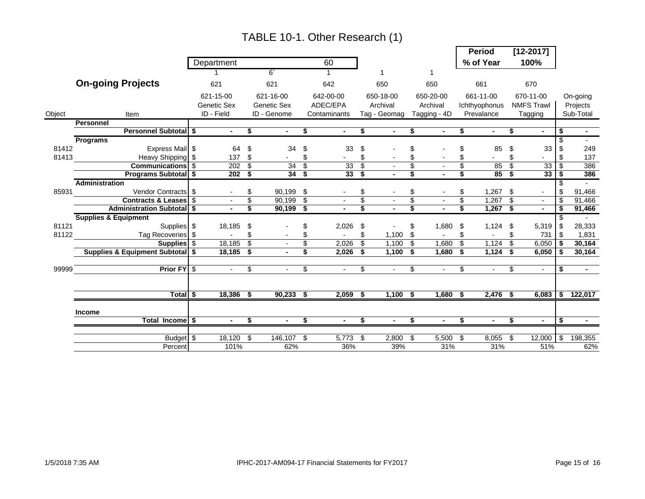|        |                                     |                  |                 |                |                         |              |      |              |                 |              |                 | <b>Period</b>  |               | $[12 - 2017]$     |      |                |
|--------|-------------------------------------|------------------|-----------------|----------------|-------------------------|--------------|------|--------------|-----------------|--------------|-----------------|----------------|---------------|-------------------|------|----------------|
|        |                                     | Department       |                 |                |                         | 60           |      |              |                 |              |                 | % of Year      |               | 100%              |      |                |
|        |                                     |                  |                 | $6^{\circ}$    |                         |              |      |              |                 |              |                 |                |               |                   |      |                |
|        | <b>On-going Projects</b>            | 621              |                 | 621            |                         | 642          |      | 650          |                 | 650          |                 | 661            |               | 670               |      |                |
|        |                                     | 621-15-00        |                 | 621-16-00      |                         | 642-00-00    |      | 650-18-00    |                 | 650-20-00    |                 | 661-11-00      |               | 670-11-00         |      | On-going       |
|        |                                     | Genetic Sex      |                 | Genetic Sex    |                         | ADEC/EPA     |      | Archival     |                 | Archival     |                 | Ichthyophonus  |               | <b>NMFS Trawl</b> |      | Projects       |
| Object | Item                                | ID - Field       |                 | ID - Genome    |                         | Contaminants |      | Tag - Geomag |                 | Tagging - 4D |                 | Prevalance     |               | Tagging           |      | Sub-Total      |
|        | <b>Personnel</b>                    |                  |                 |                |                         |              |      |              |                 |              |                 |                |               |                   |      |                |
|        | <b>Personnel Subtotal \$</b>        | $\sim$           | \$              | $\sim$         | \$                      | $\sim$       | \$   |              | \$              |              | \$              |                | \$            |                   | \$   | $\blacksquare$ |
|        | Programs                            |                  |                 |                |                         |              |      |              |                 |              |                 |                |               |                   | \$   |                |
| 81412  | Express Mail \$                     | 64               | -\$             | 34             | \$                      | 33           | \$   |              | \$              |              | \$              | 85             | \$            | 33                |      | 249            |
| 81413  | <b>Example 19 Heavy Shipping \$</b> | 137S             |                 |                | \$                      |              | \$   |              |                 |              | \$              |                | \$            |                   | \$   | 137            |
|        | Communications \$                   | $202 - $$        |                 | 34             | $\overline{\mathbf{3}}$ | 33           | \$   |              | \$              |              | \$              | 85             | \$            | 33                | \$   | 386            |
|        | <b>Programs Subtotal</b> \$         | 202 <sup>5</sup> |                 | 34S            |                         | 33S          |      |              |                 |              |                 | 85             | -\$           | 33                |      | 386            |
|        | <b>Administration</b>               |                  |                 |                |                         |              |      |              |                 |              |                 |                |               |                   |      |                |
| 85931  | Vendor Contracts \$                 |                  | \$              | 90,199 \$      |                         |              | \$   |              |                 |              | \$              | $1,267$ \$     |               |                   | \$   | 91,466         |
|        | Contracts & Leases \$               |                  | $\overline{\$}$ | $90,199$ \$    |                         |              | \$   |              | $\overline{\$}$ |              | $\overline{\$}$ | 1,267          | $\mathfrak s$ |                   | \$   | 91,466         |
|        | <b>Administration Subtotal \$</b>   |                  | \$              | $90,199$ \$    |                         |              |      |              |                 |              |                 | $1,267$ \$     |               |                   |      | 91,466         |
|        | <b>Supplies &amp; Equipment</b>     |                  |                 |                |                         |              |      |              |                 |              |                 |                |               |                   | \$   | $\sim$         |
| 81121  | <b>Supplies</b> \$                  | 18,185           | \$              |                | \$                      | 2,026        | \$   |              | \$              | 1,680        | \$              | 1,124          | \$            | 5,319             | \$   | 28,333         |
| 81122  | Tag Recoveries \$                   |                  | \$              |                | \$                      |              | \$   | $1,100$ \$   |                 |              | \$              |                | \$            | 731               | -\$  | 1,831          |
|        | Supplies \$                         | 18,185           | \$              |                | \$                      | 2,026        | \$   | 1,100        | - \$            | 1,680        | \$              | 1,124          | \$            | 6,050             |      | 30,164         |
|        | Supplies & Equipment Subtotal \$    | 18,185 \$        |                 | $\blacksquare$ | \$                      | 2,026        | - \$ | $1,100$ \$   |                 | 1,680        | S.              | $1,124$ \$     |               | 6,050             | - \$ | 30,164         |
|        |                                     |                  |                 |                |                         |              |      |              |                 |              |                 |                |               |                   |      |                |
| 99999  | Prior FY \$                         | $\sim$           | \$              | $\sim$         | \$                      | $\sim$       | \$   | $\sim$       | \$              | $\sim$       | \$              | $\blacksquare$ | \$            | $\sim$            | \$   | $\sim$         |
|        |                                     |                  |                 |                |                         |              |      |              |                 |              |                 |                |               |                   |      |                |
|        |                                     |                  |                 |                |                         |              |      |              |                 |              |                 |                |               |                   |      |                |
|        | Total \$                            | $18,386$ \$      |                 | $90,233$ \$    |                         | 2,059        | - \$ | $1,100$ \$   |                 | 1,680        | - \$            | $2,476$ \$     |               | $6,083$   \$      |      | 122,017        |
|        | Income                              |                  |                 |                |                         |              |      |              |                 |              |                 |                |               |                   |      |                |
|        | Total Income \$                     | $\sim$           | \$              | $\blacksquare$ | s,                      | $\sim$       | \$   | $\sim$       | \$              |              | \$              | $\blacksquare$ | \$            | $\blacksquare$    | \$   | $\sim$         |
|        |                                     |                  |                 |                |                         |              |      |              |                 |              |                 |                |               |                   |      |                |
|        | Budget \$                           | 18,120 \$        |                 | 146,107        | \$                      | 5,773        | \$   | 2,800        | \$              | 5,500        | \$              | 8,055          | \$            | 12,000            | \$.  | 198,355        |
|        | Percent                             | 101%             |                 | 62%            |                         | 36%          |      | 39%          |                 | 31%          |                 | 31%            |               | 51%               |      | 62%            |

# TABLE 10-1. Other Research (1)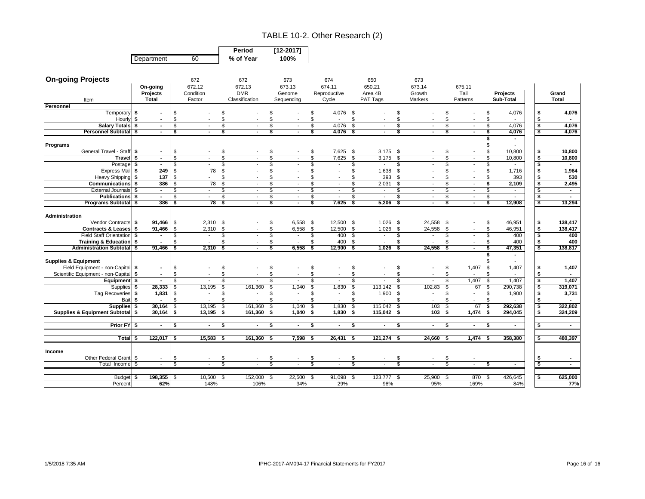#### TABLE 10-2. Other Research (2)

|            |    | Period    | $[12 - 2017]$ |
|------------|----|-----------|---------------|
| Department | 60 | % of Year | 100%          |

| <b>On-going Projects</b>              |                          |                         | 672         | 672                               | 673        |                          | 674                  |      | 650                      |          | 673                      |                |                          |     |                          |                         |                |
|---------------------------------------|--------------------------|-------------------------|-------------|-----------------------------------|------------|--------------------------|----------------------|------|--------------------------|----------|--------------------------|----------------|--------------------------|-----|--------------------------|-------------------------|----------------|
|                                       | On-going                 |                         | 672.12      | 672.13                            | 673.13     |                          | 674.11               |      | 650.21                   |          | 673.14                   |                | 675.11                   |     |                          |                         |                |
|                                       | Projects                 |                         | Condition   | <b>DMR</b>                        | Genome     |                          | Reproductive         |      | Area 4B                  |          | Growth                   |                | Tail                     |     | Projects                 |                         | Grand          |
| Item                                  | <b>Total</b>             |                         | Factor      | Classification                    | Sequencing |                          | Cycle                |      | PAT Tags                 |          | Markers                  |                | Patterns                 |     | Sub-Total                |                         | <b>Total</b>   |
| Personnel                             |                          |                         |             |                                   |            |                          |                      |      |                          |          |                          |                |                          |     |                          |                         |                |
| Temporary                             | \$<br>$\blacksquare$     | \$                      |             | \$                                | \$.        |                          | 4,076 \$<br>\$       |      |                          | \$       |                          | \$             |                          | \$  | 4,076                    | \$                      | 4,076          |
| Hourly \$                             |                          | \$                      |             | \$                                | \$         |                          |                      | \$   |                          |          |                          | $$\mathbb{S}$$ |                          | \$  |                          | - \$                    |                |
| Salary Totals \$                      | $\blacksquare$           | \$                      |             | \$                                | \$         | $\sim$                   | 4.076<br>\$          | \$   | $\blacksquare$           | \$       | $\blacksquare$           | $\mathfrak s$  |                          | \$  | 4,076                    | \$                      | 4,076          |
| <b>Personnel Subtotal</b>             | Ŝ.<br>$\sim$             | $\overline{\mathbf{3}}$ |             | Ŝ                                 | s          | $\overline{\phantom{a}}$ | S<br>4,076           | ່ \$ | $\blacksquare$           | Ŝ        |                          | 3              |                          | \$  | 4,076                    | -\$                     | 4,076          |
|                                       |                          |                         |             |                                   |            |                          |                      |      |                          |          |                          |                |                          | s   |                          |                         |                |
| Programs                              |                          |                         |             |                                   |            |                          |                      |      |                          |          |                          |                |                          |     |                          |                         |                |
| General Travel - Staff \$             | $\sim$                   | \$                      |             | \$                                | \$.        |                          | $7,625$ \$<br>\$     |      | $3,175$ \$               |          | $\overline{\phantom{a}}$ | \$             |                          | \$  | 10,800                   | - \$                    | 10,800         |
| Travel \$                             | $\sim$                   | \$                      |             | \$                                | \$         | $\overline{\phantom{a}}$ | \$.<br>7,625         | \$   | 3,175                    | \$       | $\sim$                   | \$             | $\overline{\phantom{a}}$ | \$  | 10,800                   | - \$                    | 10,800         |
| Postage \$                            | $\sim$                   |                         |             | \$                                | \$         |                          | $\blacksquare$       | \$   | $\blacksquare$           | \$.      |                          | \$             |                          | Ŝ.  |                          | - \$                    | $\blacksquare$ |
| Express Mail \$                       |                          | 249<br>- \$             | 78          | \$                                | \$         |                          |                      | \$   | 1,638                    | Ŝ.       |                          | \$             |                          | \$  | 1,716                    | - \$                    | 1,964          |
| Heavy Shipping \$                     |                          | 137<br>\$               |             | \$                                | £.         |                          |                      | \$.  | 393                      | - \$     |                          | \$             |                          | \$  | 393                      |                         | 530            |
| <b>Communications</b>                 | Ŝ.                       | 386<br>l \$             | 78          | \$                                | \$         | $\sim$                   | \$<br>$\sim$         | \$   | 2,031                    | \$       | $\overline{\phantom{a}}$ | $\mathfrak s$  | $\sim$                   | \$  | 2,109                    | $\overline{\mathbf{s}}$ | 2,495          |
| External Journals S                   | $\sim$                   | -S                      | $\sim$      | \$<br>$\overline{\phantom{a}}$    | <b>S</b>   | $\sim$                   | \$.<br>$\sim$        | \$   | $\sim$                   | \$       | $\sim$                   | \$             | $\sim$                   | \$  | $\sim$                   | $\overline{\mathbf{s}}$ | $\sim$         |
| <b>Publications</b> \$                | $\blacksquare$           | $\mathbf{\hat{s}}$      | $\sim$      | \$<br>$\sim$                      | \$         | $\sim$                   | \$<br>$\sim$         | \$   | $\sim$                   | \$       | $\sim$                   | \$             | $\sim$                   | \$  | $\overline{\phantom{a}}$ | $\overline{\mathbf{s}}$ | $\sim$         |
| <b>Programs Subtotal</b> \$           |                          | 386<br>l \$             | 78          | \$<br>$\blacksquare$              | \$         | $\sim$                   | 7,625<br>S,          | S,   | 5,206                    | -\$      | $\blacksquare$           | s.             | $\sim$                   | \$  | 12,908                   | $\overline{\mathbf{s}}$ | 13,294         |
|                                       |                          |                         |             |                                   |            |                          |                      |      |                          |          |                          |                |                          |     |                          |                         |                |
| Administration                        |                          |                         |             |                                   |            |                          |                      |      |                          |          |                          |                |                          |     |                          |                         |                |
| Vendor Contracts \$                   |                          | $91,466$ \$             | $2,310$ \$  |                                   | \$         | $6,558$ \$               | 12,500 \$            |      | $1,026$ \$               |          | 24,558 \$                |                | $\overline{\phantom{a}}$ | \$  | 46,951                   | -\$                     | 138,417        |
| Contracts & Leases \$                 |                          | $91,466$ \$             | 2,310       | $\mathbf{s}$                      | <b>S</b>   | 6,558                    | 12.500<br><b>S</b>   | S,   | 1,026                    | - \$     | 24,558                   | $\mathbf{s}$   | $\overline{\phantom{a}}$ | \$  | 46,951                   | \$                      | 138,417        |
| Field Staff Orientation \$            | $\sim$                   | - \$                    | $\sim$      | \$<br>$\sim$                      | S          | $\sim$                   | 400<br>\$            | \$   | $\sim$                   | \$       | $\sim$                   | \$             | $\sim$                   | \$  | 400                      | $\overline{\mathbf{s}}$ | 400            |
| Training & Education \$               | $\sim$                   | -S                      | $\sim$      | \$<br>$\overline{\phantom{a}}$    | Ŝ.         | $\sim$                   | 400<br>\$            | \$   | $\sim$                   | S        | $\sim$                   | \$             | $\sim$                   | Ŝ.  | 400                      | - \$                    | 400            |
| <b>Administration Subtotal \$</b>     | 91,466                   | l S                     | 2,310       | $\overline{\mathbf{s}}$<br>$\sim$ | s          | 6,558                    | 12,900<br>- \$       | S,   | 1,026                    | - \$     | 24,558                   | Ŝ.             | $\sim$                   | \$  | 47,351                   | - \$                    | 138,817        |
|                                       |                          |                         |             |                                   |            |                          |                      |      |                          |          |                          |                |                          |     |                          |                         |                |
| <b>Supplies &amp; Equipment</b>       |                          |                         |             |                                   |            |                          |                      |      |                          |          |                          |                |                          |     |                          |                         |                |
| Field Equipment - non-Capital \$      | $\blacksquare$           | S.                      |             | \$                                | \$         |                          |                      | \$   |                          | \$       |                          | \$             | 1,407                    | -\$ | 1,407                    |                         | 1,407          |
| Scientific Equipment - non-Capital \$ | $\blacksquare$           | \$                      |             | \$                                | \$         |                          | \$.<br>$\sim$        | \$   |                          | \$.      |                          | \$             |                          | £.  |                          | - \$                    |                |
| Equipment \$                          | $\blacksquare$           | -S                      |             | \$                                | \$         | $\overline{\phantom{a}}$ | \$<br>$\blacksquare$ | \$   | $\overline{\phantom{a}}$ | S        | $\overline{\phantom{a}}$ | \$             | 1,407                    | Ŝ.  | 1.407                    | $\overline{\mathbf{s}}$ | 1,407          |
| <b>Supplies</b>                       | 28,333<br>S.             |                         | 13,195      | \$<br>161.360                     | \$         | 1,040                    | £.<br>1,830          | \$   | 113,142                  | <b>S</b> | 102.83                   | \$             | 67                       | \$  | 290,738                  | - \$                    | 319,071        |
| Tag Recoveries \$                     | 1,831                    | -\$                     | $\sim$      | \$<br>$\overline{\phantom{a}}$    | \$.        | $\overline{\phantom{a}}$ | $\blacksquare$       | \$   | 1,900                    | - \$     | $\overline{\phantom{a}}$ | \$             |                          | \$  | 1,900                    | Ŝ.                      | 3,731          |
| Bait \$                               |                          | $\mathcal{S}$           |             | \$                                | £.         |                          | \$.                  | \$   |                          | \$.      |                          | \$             |                          |     |                          |                         |                |
| <b>Supplies</b>                       | 30,164                   | \$                      | 13,195      | \$<br>161,360                     | \$         | 1,040                    | \$<br>1,830          | \$   | 115,042                  | \$       | 103                      | \$             | 67                       |     | 292,638                  | \$                      | 322,802        |
| Supplies & Equipment Subtotal   \$    | 30,164                   | -\$                     | 13,195      | - \$<br>161,360                   | -S         | 1,040                    | - \$<br>1,830        | \$   | 115,042                  | - \$     | 103                      | \$             | 1,474                    |     | 294,045                  |                         | 324,209        |
|                                       |                          |                         |             |                                   |            |                          |                      |      |                          |          |                          |                |                          |     |                          |                         |                |
| Prior FY \$                           | $\blacksquare$           | \$                      |             | \$                                | Ŝ.         | $\blacksquare$           | \$<br>$\blacksquare$ | \$   |                          | \$       | $\sim$                   | \$             |                          | s.  |                          |                         | $\sim$         |
|                                       |                          |                         |             |                                   |            |                          |                      |      |                          |          |                          |                |                          |     |                          |                         |                |
| Total \$                              | $122,017$ \$             |                         | $15,583$ \$ | $161,360$ \$                      |            | $7,598$ \$               | $26,431$ \$          |      | $121,274$ \$             |          | $24,660$ \$              |                | $1,474$ \$               |     | 358,380                  | - \$                    | 480,397        |
|                                       |                          |                         |             |                                   |            |                          |                      |      |                          |          |                          |                |                          |     |                          |                         |                |
| Income                                |                          |                         |             |                                   |            |                          |                      |      |                          |          |                          |                |                          |     |                          |                         |                |
| Other Federal Grant \$                | $\overline{\phantom{a}}$ | \$                      |             | \$.                               | \$         |                          |                      | \$.  |                          |          |                          | \$             |                          |     |                          | - 5                     |                |
| Total Income                          | \$<br>$\sim$             | \$                      |             | \$                                |            |                          |                      |      |                          |          |                          | S              | $\sim$                   | s   | $\sim$                   | ு                       | $\sim$         |
|                                       |                          |                         |             |                                   |            |                          |                      |      |                          |          |                          |                |                          |     |                          |                         |                |
| <b>Budget</b>                         | 198,355                  | l \$                    | 10,500      | 152,000<br>- \$                   | - \$       | 22,500                   | 91,098 \$<br>- \$    |      | 123,777 \$               |          | 25,900 \$                |                | 870                      |     | 426,645                  | - \$                    | 625,000        |
| Percent                               |                          | 62%                     | 148%        | 106%                              |            | 34%                      | 29%                  |      | 98%                      |          | 95%                      |                | 169%                     |     | 84%                      |                         | 77%            |
|                                       |                          |                         |             |                                   |            |                          |                      |      |                          |          |                          |                |                          |     |                          |                         |                |